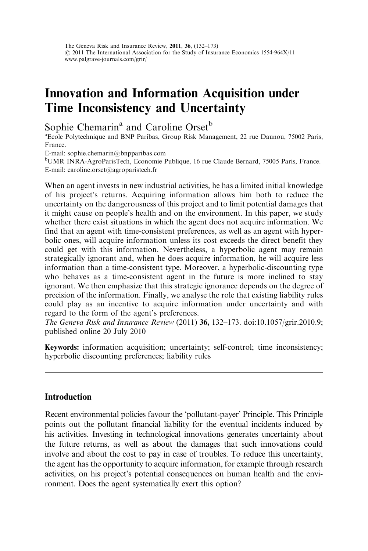# Innovation and Information Acquisition under Time Inconsistency and Uncertainty

Sophie Chemarin<sup>a</sup> and Caroline Orset<sup>b</sup>

<sup>a</sup> Ecole Polytechnique and BNP Paribas, Group Risk Management, 22 rue Daunou, 75002 Paris, France.

E-mail: sophie.chemarin@bnpparibas.com

<sup>b</sup>UMR INRA-AgroParisTech, Economie Publique, 16 rue Claude Bernard, 75005 Paris, France. E-mail: caroline.orset@agroparistech.fr

When an agent invests in new industrial activities, he has a limited initial knowledge of his project's returns. Acquiring information allows him both to reduce the uncertainty on the dangerousness of this project and to limit potential damages that it might cause on people's health and on the environment. In this paper, we study whether there exist situations in which the agent does not acquire information. We find that an agent with time-consistent preferences, as well as an agent with hyperbolic ones, will acquire information unless its cost exceeds the direct benefit they could get with this information. Nevertheless, a hyperbolic agent may remain strategically ignorant and, when he does acquire information, he will acquire less information than a time-consistent type. Moreover, a hyperbolic-discounting type who behaves as a time-consistent agent in the future is more inclined to stay ignorant. We then emphasize that this strategic ignorance depends on the degree of precision of the information. Finally, we analyse the role that existing liability rules could play as an incentive to acquire information under uncertainty and with regard to the form of the agent's preferences.

The Geneva Risk and Insurance Review (2011) 36, 132–173. doi:10.1057/grir.2010.9; published online 20 July 2010

Keywords: information acquisition; uncertainty; self-control; time inconsistency; hyperbolic discounting preferences; liability rules

# **Introduction**

Recent environmental policies favour the 'pollutant-payer' Principle. This Principle points out the pollutant financial liability for the eventual incidents induced by his activities. Investing in technological innovations generates uncertainty about the future returns, as well as about the damages that such innovations could involve and about the cost to pay in case of troubles. To reduce this uncertainty, the agent has the opportunity to acquire information, for example through research activities, on his project's potential consequences on human health and the environment. Does the agent systematically exert this option?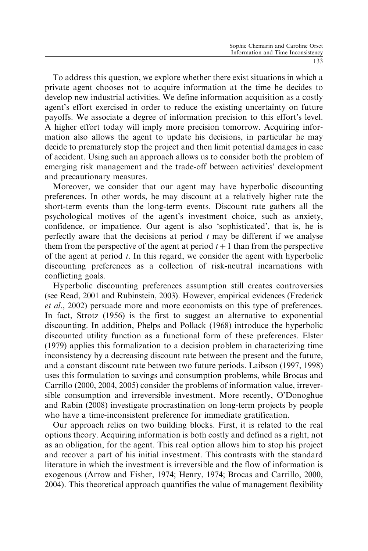To address this question, we explore whether there exist situations in which a private agent chooses not to acquire information at the time he decides to develop new industrial activities. We define information acquisition as a costly agent's effort exercised in order to reduce the existing uncertainty on future payoffs. We associate a degree of information precision to this effort's level. A higher effort today will imply more precision tomorrow. Acquiring information also allows the agent to update his decisions, in particular he may decide to prematurely stop the project and then limit potential damages in case of accident. Using such an approach allows us to consider both the problem of emerging risk management and the trade-off between activities' development and precautionary measures.

Moreover, we consider that our agent may have hyperbolic discounting preferences. In other words, he may discount at a relatively higher rate the short-term events than the long-term events. Discount rate gathers all the psychological motives of the agent's investment choice, such as anxiety, confidence, or impatience. Our agent is also 'sophisticated', that is, he is perfectly aware that the decisions at period  $t$  may be different if we analyse them from the perspective of the agent at period  $t + 1$  than from the perspective of the agent at period  $t$ . In this regard, we consider the agent with hyperbolic discounting preferences as a collection of risk-neutral incarnations with conflicting goals.

Hyperbolic discounting preferences assumption still creates controversies (see Read, 2001 and Rubinstein, 2003). However, empirical evidences (Frederick et al., 2002) persuade more and more economists on this type of preferences. In fact, Strotz (1956) is the first to suggest an alternative to exponential discounting. In addition, Phelps and Pollack (1968) introduce the hyperbolic discounted utility function as a functional form of these preferences. Elster (1979) applies this formalization to a decision problem in characterizing time inconsistency by a decreasing discount rate between the present and the future, and a constant discount rate between two future periods. Laibson (1997, 1998) uses this formulation to savings and consumption problems, while Brocas and Carrillo (2000, 2004, 2005) consider the problems of information value, irreversible consumption and irreversible investment. More recently, O'Donoghue and Rabin (2008) investigate procrastination on long-term projects by people who have a time-inconsistent preference for immediate gratification.

Our approach relies on two building blocks. First, it is related to the real options theory. Acquiring information is both costly and defined as a right, not as an obligation, for the agent. This real option allows him to stop his project and recover a part of his initial investment. This contrasts with the standard literature in which the investment is irreversible and the flow of information is exogenous (Arrow and Fisher, 1974; Henry, 1974; Brocas and Carrillo, 2000, 2004). This theoretical approach quantifies the value of management flexibility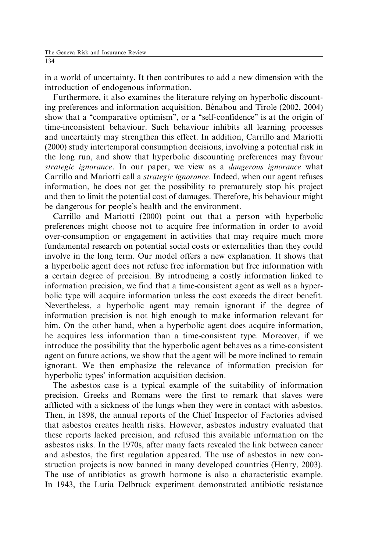in a world of uncertainty. It then contributes to add a new dimension with the introduction of endogenous information.

Furthermore, it also examines the literature relying on hyperbolic discounting preferences and information acquisition. Bénabou and Tirole (2002, 2004) show that a "comparative optimism", or a "self-confidence" is at the origin of time-inconsistent behaviour. Such behaviour inhibits all learning processes and uncertainty may strengthen this effect. In addition, Carrillo and Mariotti (2000) study intertemporal consumption decisions, involving a potential risk in the long run, and show that hyperbolic discounting preferences may favour strategic ignorance. In our paper, we view as a dangerous ignorance what Carrillo and Mariotti call a strategic ignorance. Indeed, when our agent refuses information, he does not get the possibility to prematurely stop his project and then to limit the potential cost of damages. Therefore, his behaviour might be dangerous for people's health and the environment.

Carrillo and Mariotti (2000) point out that a person with hyperbolic preferences might choose not to acquire free information in order to avoid over-consumption or engagement in activities that may require much more fundamental research on potential social costs or externalities than they could involve in the long term. Our model offers a new explanation. It shows that a hyperbolic agent does not refuse free information but free information with a certain degree of precision. By introducing a costly information linked to information precision, we find that a time-consistent agent as well as a hyperbolic type will acquire information unless the cost exceeds the direct benefit. Nevertheless, a hyperbolic agent may remain ignorant if the degree of information precision is not high enough to make information relevant for him. On the other hand, when a hyperbolic agent does acquire information, he acquires less information than a time-consistent type. Moreover, if we introduce the possibility that the hyperbolic agent behaves as a time-consistent agent on future actions, we show that the agent will be more inclined to remain ignorant. We then emphasize the relevance of information precision for hyperbolic types' information acquisition decision.

The asbestos case is a typical example of the suitability of information precision. Greeks and Romans were the first to remark that slaves were afflicted with a sickness of the lungs when they were in contact with asbestos. Then, in 1898, the annual reports of the Chief Inspector of Factories advised that asbestos creates health risks. However, asbestos industry evaluated that these reports lacked precision, and refused this available information on the asbestos risks. In the 1970s, after many facts revealed the link between cancer and asbestos, the first regulation appeared. The use of asbestos in new construction projects is now banned in many developed countries (Henry, 2003). The use of antibiotics as growth hormone is also a characteristic example. In 1943, the Luria–Delbruck experiment demonstrated antibiotic resistance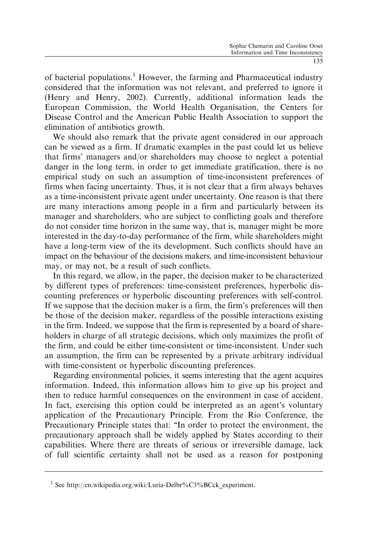of bacterial populations.<sup>1</sup> However, the farming and Pharmaceutical industry considered that the information was not relevant, and preferred to ignore it (Henry and Henry, 2002). Currently, additional information leads the European Commission, the World Health Organisation, the Centers for Disease Control and the American Public Health Association to support the elimination of antibiotics growth.

We should also remark that the private agent considered in our approach can be viewed as a firm. If dramatic examples in the past could let us believe that firms' managers and/or shareholders may choose to neglect a potential danger in the long term, in order to get immediate gratification, there is no empirical study on such an assumption of time-inconsistent preferences of firms when facing uncertainty. Thus, it is not clear that a firm always behaves as a time-inconsistent private agent under uncertainty. One reason is that there are many interactions among people in a firm and particularly between its manager and shareholders, who are subject to conflicting goals and therefore do not consider time horizon in the same way, that is, manager might be more interested in the day-to-day performance of the firm, while shareholders might have a long-term view of the its development. Such conflicts should have an impact on the behaviour of the decisions makers, and time-inconsistent behaviour may, or may not, be a result of such conflicts.

In this regard, we allow, in the paper, the decision maker to be characterized by different types of preferences: time-consistent preferences, hyperbolic discounting preferences or hyperbolic discounting preferences with self-control. If we suppose that the decision maker is a firm, the firm's preferences will then be those of the decision maker, regardless of the possible interactions existing in the firm. Indeed, we suppose that the firm is represented by a board of shareholders in charge of all strategic decisions, which only maximizes the profit of the firm, and could be either time-consistent or time-inconsistent. Under such an assumption, the firm can be represented by a private arbitrary individual with time-consistent or hyperbolic discounting preferences.

Regarding environmental policies, it seems interesting that the agent acquires information. Indeed, this information allows him to give up his project and then to reduce harmful consequences on the environment in case of accident. In fact, exercising this option could be interpreted as an agent's voluntary application of the Precautionary Principle. From the Rio Conference, the Precautionary Principle states that: ''In order to protect the environment, the precautionary approach shall be widely applied by States according to their capabilities. Where there are threats of serious or irreversible damage, lack of full scientific certainty shall not be used as a reason for postponing

<sup>&</sup>lt;sup>1</sup> See http://en.wikipedia.org/wiki/Luria-Delbr%C3%BCck experiment.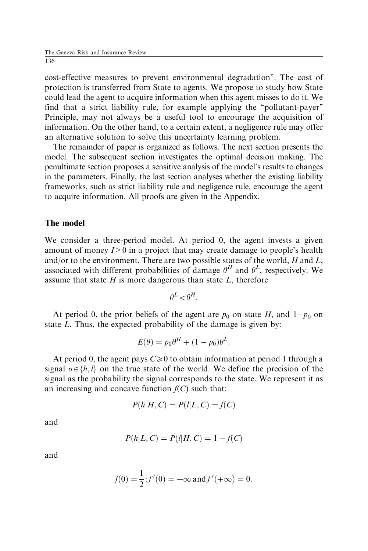cost-effective measures to prevent environmental degradation''. The cost of protection is transferred from State to agents. We propose to study how State could lead the agent to acquire information when this agent misses to do it. We find that a strict liability rule, for example applying the ''pollutant-payer'' Principle, may not always be a useful tool to encourage the acquisition of information. On the other hand, to a certain extent, a negligence rule may offer an alternative solution to solve this uncertainty learning problem.

The remainder of paper is organized as follows. The next section presents the model. The subsequent section investigates the optimal decision making. The penultimate section proposes a sensitive analysis of the model's results to changes in the parameters. Finally, the last section analyses whether the existing liability frameworks, such as strict liability rule and negligence rule, encourage the agent to acquire information. All proofs are given in the Appendix.

### The model

We consider a three-period model. At period 0, the agent invests a given amount of money  $I>0$  in a project that may create damage to people's health and/or to the environment. There are two possible states of the world,  $H$  and  $L$ , associated with different probabilities of damage  $\theta^H$  and  $\theta^L$ , respectively. We assume that state  $H$  is more dangerous than state  $L$ , therefore

$$
\theta^L \! < \! \theta^H.
$$

At period 0, the prior beliefs of the agent are  $p_0$  on state H, and  $1-p_0$  on state L. Thus, the expected probability of the damage is given by:

$$
E(\theta) = p_0 \theta^H + (1 - p_0)\theta^L.
$$

At period 0, the agent pays  $C\geq 0$  to obtain information at period 1 through a signal  $\sigma \in \{h, l\}$  on the true state of the world. We define the precision of the signal as the probability the signal corresponds to the state. We represent it as an increasing and concave function  $f(C)$  such that:

$$
P(h|H,C) = P(l|L,C) = f(C)
$$

and

$$
P(h|L, C) = P(l|H, C) = 1 - f(C)
$$

and

$$
f(0) = \frac{1}{2}
$$
;  $f'(0) = +\infty$  and  $f'(+\infty) = 0$ .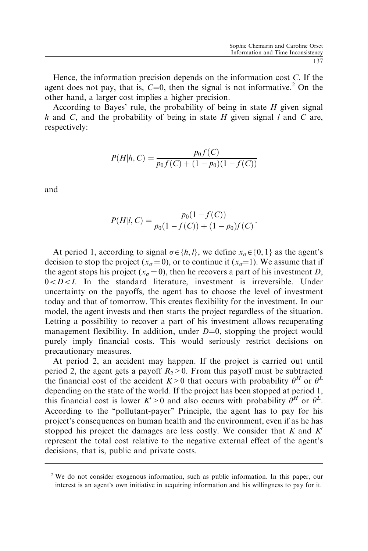Hence, the information precision depends on the information cost C. If the agent does not pay, that is,  $C=0$ , then the signal is not informative.<sup>2</sup> On the other hand, a larger cost implies a higher precision.

According to Bayes' rule, the probability of being in state  $H$  given signal h and C, and the probability of being in state  $H$  given signal l and C are, respectively:

$$
P(H|h, C) = \frac{p_0 f(C)}{p_0 f(C) + (1 - p_0)(1 - f(C))}
$$

and

$$
P(H|l, C) = \frac{p_0(1 - f(C))}{p_0(1 - f(C)) + (1 - p_0)f(C)}.
$$

At period 1, according to signal  $\sigma \in \{h, l\}$ , we define  $x_{\sigma} \in \{0, 1\}$  as the agent's decision to stop the project ( $x_{\sigma} = 0$ ), or to continue it ( $x_{\sigma} = 1$ ). We assume that if the agent stops his project ( $x_{\sigma} = 0$ ), then he recovers a part of his investment D,  $0 < D < I$ . In the standard literature, investment is irreversible. Under uncertainty on the payoffs, the agent has to choose the level of investment today and that of tomorrow. This creates flexibility for the investment. In our model, the agent invests and then starts the project regardless of the situation. Letting a possibility to recover a part of his investment allows recuperating management flexibility. In addition, under  $D=0$ , stopping the project would purely imply financial costs. This would seriously restrict decisions on precautionary measures.

At period 2, an accident may happen. If the project is carried out until period 2, the agent gets a payoff  $R_2>0$ . From this payoff must be subtracted the financial cost of the accident  $K>0$  that occurs with probability  $\theta^H$  or  $\theta^L$ depending on the state of the world. If the project has been stopped at period 1, this financial cost is lower  $K' > 0$  and also occurs with probability  $\theta^H$  or  $\theta^L$ . According to the ''pollutant-payer'' Principle, the agent has to pay for his project's consequences on human health and the environment, even if as he has stopped his project the damages are less costly. We consider that  $K$  and  $K'$ represent the total cost relative to the negative external effect of the agent's decisions, that is, public and private costs.

 $2$  We do not consider exogenous information, such as public information. In this paper, our interest is an agent's own initiative in acquiring information and his willingness to pay for it.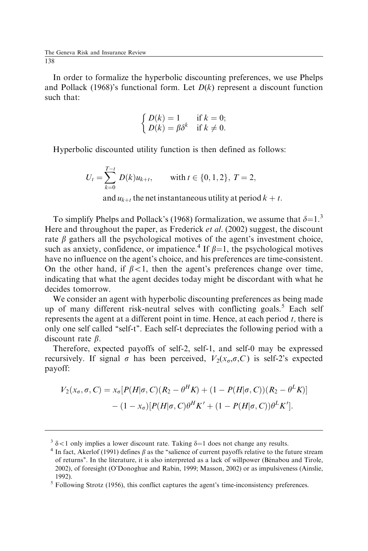In order to formalize the hyperbolic discounting preferences, we use Phelps and Pollack (1968)'s functional form. Let  $D(k)$  represent a discount function such that:

$$
\begin{cases}\nD(k) = 1 & \text{if } k = 0; \\
D(k) = \beta \delta^k & \text{if } k \neq 0.\n\end{cases}
$$

Hyperbolic discounted utility function is then defined as follows:

$$
U_t = \sum_{k=0}^{T-t} D(k)u_{k+t}, \quad \text{with } t \in \{0, 1, 2\}, \ T = 2,
$$
  
and  $u_{k+t}$  the net instantaneous utility at period  $k + t$ .

To simplify Phelps and Pollack's (1968) formalization, we assume that  $\delta=1.3$ . Here and throughout the paper, as Frederick et al. (2002) suggest, the discount rate  $\beta$  gathers all the psychological motives of the agent's investment choice, such as anxiety, confidence, or impatience.<sup>4</sup> If  $\beta=1$ , the psychological motives have no influence on the agent's choice, and his preferences are time-consistent. On the other hand, if  $\beta < 1$ , then the agent's preferences change over time, indicating that what the agent decides today might be discordant with what he decides tomorrow.

We consider an agent with hyperbolic discounting preferences as being made up of many different risk-neutral selves with conflicting goals.<sup>5</sup> Each self represents the agent at a different point in time. Hence, at each period  $t$ , there is only one self called ''self-t''. Each self-t depreciates the following period with a discount rate  $\beta$ .

Therefore, expected payoffs of self-2, self-1, and self-0 may be expressed recursively. If signal  $\sigma$  has been perceived,  $V_2(x_\sigma,\sigma,C)$  is self-2's expected payoff:

$$
V_2(x_\sigma, \sigma, C) = x_\sigma [P(H|\sigma, C)(R_2 - \theta^H K) + (1 - P(H|\sigma, C))(R_2 - \theta^L K)]
$$
  
 
$$
- (1 - x_\sigma)[P(H|\sigma, C)\theta^H K' + (1 - P(H|\sigma, C))\theta^L K'].
$$

<sup>&</sup>lt;sup>3</sup>  $\delta$  < 1 only implies a lower discount rate. Taking  $\delta$ =1 does not change any results. 4 In fact, Akerlof (1991) defines  $\beta$  as the "salience of current payoffs relative to the future stream of returns". In the literature, it is also interpreted as a lack of willpower (Bénabou and Tirole, 2002), of foresight (O'Donoghue and Rabin, 1999; Masson, 2002) or as impulsiveness (Ainslie, 1992).

 $<sup>5</sup>$  Following Strotz (1956), this conflict captures the agent's time-inconsistency preferences.</sup>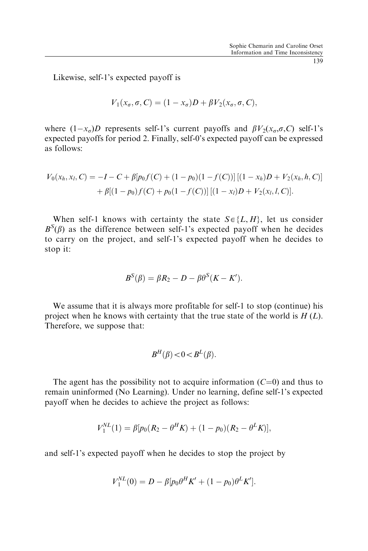Likewise, self-1's expected payoff is

$$
V_1(x_{\sigma}, \sigma, C) = (1 - x_{\sigma})D + \beta V_2(x_{\sigma}, \sigma, C),
$$

where  $(1-x_{\sigma})D$  represents self-1's current payoffs and  $\beta V_2(x_{\sigma}, \sigma, C)$  self-1's expected payoffs for period 2. Finally, self-0's expected payoff can be expressed as follows:

$$
V_0(x_h, x_l, C) = -I - C + \beta[p_0 f(C) + (1 - p_0)(1 - f(C))][(1 - x_h)D + V_2(x_h, h, C)]
$$
  
+ 
$$
\beta[(1 - p_0)f(C) + p_0(1 - f(C))][(1 - x_l)D + V_2(x_l, l, C)].
$$

When self-1 knows with certainty the state  $S \in \{L, H\}$ , let us consider  $B^{S}(\beta)$  as the difference between self-1's expected payoff when he decides to carry on the project, and self-1's expected payoff when he decides to stop it:

$$
B^{S}(\beta) = \beta R_2 - D - \beta \theta^{S}(K - K').
$$

We assume that it is always more profitable for self-1 to stop (continue) his project when he knows with certainty that the true state of the world is  $H(L)$ . Therefore, we suppose that:

$$
B^H(\beta) < 0 < B^L(\beta).
$$

The agent has the possibility not to acquire information  $(C=0)$  and thus to remain uninformed (No Learning). Under no learning, define self-1's expected payoff when he decides to achieve the project as follows:

$$
V_1^{NL}(1) = \beta[p_0(R_2 - \theta^H K) + (1 - p_0)(R_2 - \theta^L K)],
$$

and self-1's expected payoff when he decides to stop the project by

$$
V_1^{NL}(0) = D - \beta [p_0 \theta^H K' + (1 - p_0) \theta^L K'].
$$

139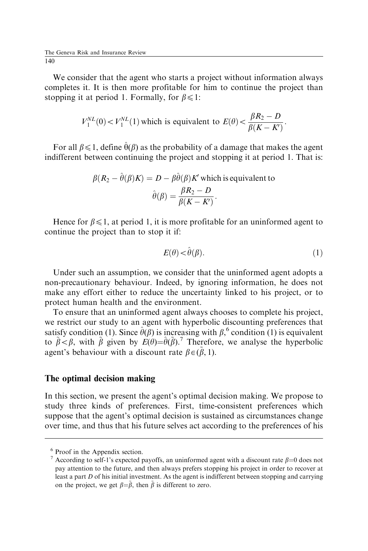We consider that the agent who starts a project without information always completes it. It is then more profitable for him to continue the project than stopping it at period 1. Formally, for  $\beta \leq 1$ :

$$
V_1^{NL}(0) < V_1^{NL}(1)
$$
 which is equivalent to 
$$
E(\theta) < \frac{\beta R_2 - D}{\beta (K - K)}.
$$

For all  $\beta \leq 1$ , define  $\hat{\theta}(\beta)$  as the probability of a damage that makes the agent indifferent between continuing the project and stopping it at period 1. That is:

$$
\beta(R_2 - \hat{\theta}(\beta)K) = D - \beta \hat{\theta}(\beta)K'
$$
 which is equivalent to  

$$
\hat{\theta}(\beta) = \frac{\beta R_2 - D}{\beta(K - K')}.
$$

Hence for  $\beta \leq 1$ , at period 1, it is more profitable for an uninformed agent to continue the project than to stop it if:

$$
E(\theta) < \hat{\theta}(\beta). \tag{1}
$$

Under such an assumption, we consider that the uninformed agent adopts a non-precautionary behaviour. Indeed, by ignoring information, he does not make any effort either to reduce the uncertainty linked to his project, or to protect human health and the environment.

To ensure that an uninformed agent always chooses to complete his project, we restrict our study to an agent with hyperbolic discounting preferences that satisfy condition (1). Since  $\hat{\theta}(\beta)$  is increasing with  $\beta$ ,  $\phi$  condition (1) is equivalent to  $\tilde{\beta} < \beta$ , with  $\tilde{\beta}$  given by  $E(\theta) = \hat{\theta}(\tilde{\beta})$ .<sup>7</sup> Therefore, we analyse the hyperbolic agent's behaviour with a discount rate  $\beta \in (\tilde{\beta}, 1)$ .

### The optimal decision making

In this section, we present the agent's optimal decision making. We propose to study three kinds of preferences. First, time-consistent preferences which suppose that the agent's optimal decision is sustained as circumstances change over time, and thus that his future selves act according to the preferences of his

<sup>6</sup> Proof in the Appendix section.

<sup>&</sup>lt;sup>7</sup> According to self-1's expected payoffs, an uninformed agent with a discount rate  $\beta$ =0 does not pay attention to the future, and then always prefers stopping his project in order to recover at least a part  $D$  of his initial investment. As the agent is indifferent between stopping and carrying on the project, we get  $\beta = \tilde{\beta}$ , then  $\tilde{\beta}$  is different to zero.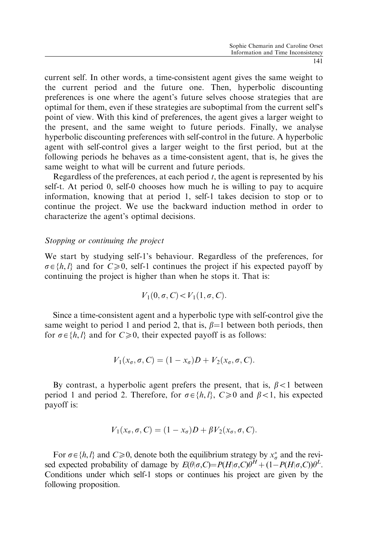current self. In other words, a time-consistent agent gives the same weight to the current period and the future one. Then, hyperbolic discounting preferences is one where the agent's future selves choose strategies that are optimal for them, even if these strategies are suboptimal from the current self's point of view. With this kind of preferences, the agent gives a larger weight to the present, and the same weight to future periods. Finally, we analyse hyperbolic discounting preferences with self-control in the future. A hyperbolic agent with self-control gives a larger weight to the first period, but at the following periods he behaves as a time-consistent agent, that is, he gives the same weight to what will be current and future periods.

Regardless of the preferences, at each period  $t$ , the agent is represented by his self-t. At period 0, self-0 chooses how much he is willing to pay to acquire information, knowing that at period 1, self-1 takes decision to stop or to continue the project. We use the backward induction method in order to characterize the agent's optimal decisions.

### Stopping or continuing the project

We start by studying self-1's behaviour. Regardless of the preferences, for  $\sigma \in \{h, l\}$  and for  $C \ge 0$ , self-1 continues the project if his expected payoff by continuing the project is higher than when he stops it. That is:

$$
V_1(0, \sigma, C) < V_1(1, \sigma, C).
$$

Since a time-consistent agent and a hyperbolic type with self-control give the same weight to period 1 and period 2, that is,  $\beta=1$  between both periods, then for  $\sigma \in \{h, l\}$  and for  $C \ge 0$ , their expected payoff is as follows:

$$
V_1(x_{\sigma}, \sigma, C) = (1 - x_{\sigma})D + V_2(x_{\sigma}, \sigma, C).
$$

By contrast, a hyperbolic agent prefers the present, that is,  $\beta < 1$  between period 1 and period 2. Therefore, for  $\sigma \in \{h, l\}$ ,  $C \ge 0$  and  $\beta < 1$ , his expected payoff is:

$$
V_1(x_{\sigma}, \sigma, C) = (1 - x_{\sigma})D + \beta V_2(x_{\sigma}, \sigma, C).
$$

For  $\sigma \in \{h, l\}$  and  $C \ge 0$ , denote both the equilibrium strategy by  $x_{\sigma}^*$  and the revised expected probability of damage by  $E(\theta|\sigma, C) = P(H|\sigma, C)\theta^H + (1 - P(H|\sigma, C))\theta^L$ . Conditions under which self-1 stops or continues his project are given by the following proposition.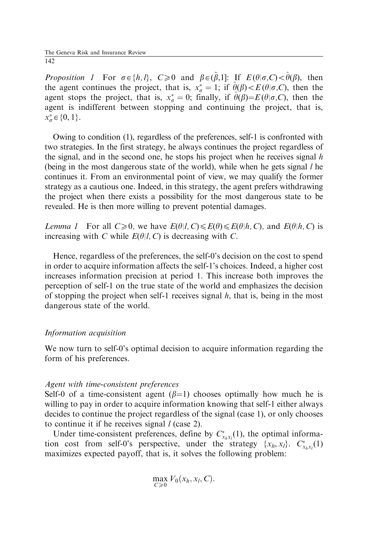*Proposition 1* For  $\sigma \in \{h, l\}$ ,  $C \ge 0$  and  $\beta \in (\tilde{\beta}, 1]$ : If  $E(\theta | \sigma, C) < \hat{\theta}(\beta)$ , then the agent continues the project, that is,  $x_{\sigma}^* = 1$ ; if  $\hat{\theta}(\beta) \lt E(\theta | \sigma, C)$ , then the agent stops the project, that is,  $x_{\sigma}^* = 0$ ; finally, if  $\hat{\theta}(\beta) = E(\theta|\sigma,C)$ , then the agent is indifferent between stopping and continuing the project, that is,  $x_{\sigma}^* \in \{0, 1\}.$ 

Owing to condition (1), regardless of the preferences, self-1 is confronted with two strategies. In the first strategy, he always continues the project regardless of the signal, and in the second one, he stops his project when he receives signal  $h$ (being in the most dangerous state of the world), while when he gets signal  $l$  he continues it. From an environmental point of view, we may qualify the former strategy as a cautious one. Indeed, in this strategy, the agent prefers withdrawing the project when there exists a possibility for the most dangerous state to be revealed. He is then more willing to prevent potential damages.

Lemma 1 For all  $C \ge 0$ , we have  $E(\theta|l, C) \le E(\theta) \le E(\theta|h, C)$ , and  $E(\theta|h, C)$  is increasing with C while  $E(\theta|l, C)$  is decreasing with C.

Hence, regardless of the preferences, the self-0's decision on the cost to spend in order to acquire information affects the self-1's choices. Indeed, a higher cost increases information precision at period 1. This increase both improves the perception of self-1 on the true state of the world and emphasizes the decision of stopping the project when self-1 receives signal  $h$ , that is, being in the most dangerous state of the world.

# Information acquisition

We now turn to self-0's optimal decision to acquire information regarding the form of his preferences.

### Agent with time-consistent preferences

Self-0 of a time-consistent agent  $(\beta=1)$  chooses optimally how much he is willing to pay in order to acquire information knowing that self-1 either always decides to continue the project regardless of the signal (case 1), or only chooses to continue it if he receives signal  $l$  (case 2).

Under time-consistent preferences, define by  $C^*_{x_h,x_l}(1)$ , the optimal information cost from self-0's perspective, under the strategy  $\{x_h, x_l\}$ .  $C^*_{x_h, x_l}(1)$ maximizes expected payoff, that is, it solves the following problem:

$$
\max_{C\geq 0} V_0(x_h,x_l,C).
$$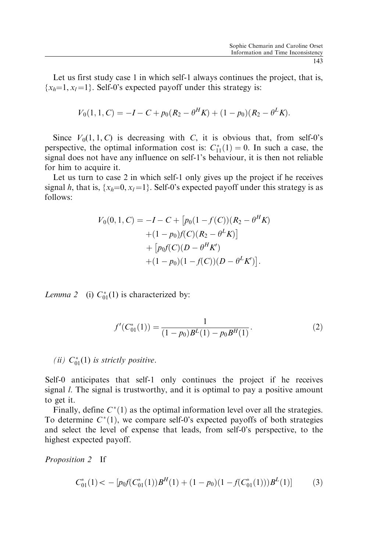Let us first study case 1 in which self-1 always continues the project, that is,  $\{x_h=1, x_l=1\}$ . Self-0's expected payoff under this strategy is:

$$
V_0(1, 1, C) = -I - C + p_0(R_2 - \theta^H K) + (1 - p_0)(R_2 - \theta^L K).
$$

Since  $V_0(1, 1, C)$  is decreasing with C, it is obvious that, from self-0's perspective, the optimal information cost is:  $C_{11}^*(1) = 0$ . In such a case, the signal does not have any influence on self-1's behaviour, it is then not reliable for him to acquire it.

Let us turn to case 2 in which self-1 only gives up the project if he receives signal h, that is,  $\{x_h=0, x_l=1\}$ . Self-0's expected payoff under this strategy is as follows:

$$
V_0(0, 1, C) = -I - C + [p_0(1 - f(C))(R_2 - \theta^H K) + (1 - p_0)f(C)(R_2 - \theta^L K)]
$$
  
+ 
$$
[p_0f(C)(D - \theta^H K') + (1 - p_0)(1 - f(C))(D - \theta^L K')].
$$

*Lemma 2* (i)  $C_{01}^*(1)$  is characterized by:

$$
f'(C_{01}^*(1)) = \frac{1}{(1 - p_0)B^L(1) - p_0B^H(1)}.
$$
\n(2)

(ii)  $C_{01}^*(1)$  is strictly positive.

Self-0 anticipates that self-1 only continues the project if he receives signal  $l$ . The signal is trustworthy, and it is optimal to pay a positive amount to get it.

Finally, define  $C^*(1)$  as the optimal information level over all the strategies. To determine  $C^*(1)$ , we compare self-0's expected payoffs of both strategies and select the level of expense that leads, from self-0's perspective, to the highest expected payoff.

Proposition 2 If

$$
C_{01}^*(1) < -\left[p_0 f(C_{01}^*(1))B^H(1) + (1 - p_0)(1 - f(C_{01}^*(1)))B^L(1)\right] \tag{3}
$$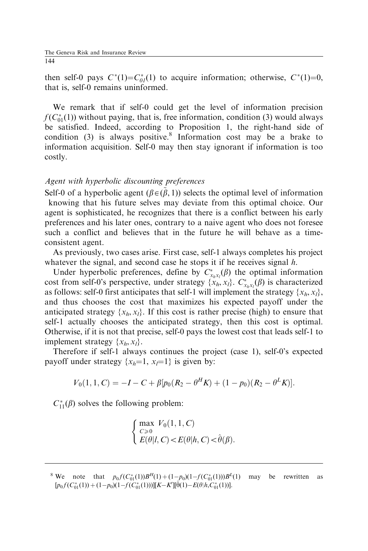then self-0 pays  $C^*(1) = C_{0l}^*(1)$  to acquire information; otherwise,  $C^*(1)=0$ , that is, self-0 remains uninformed.

We remark that if self-0 could get the level of information precision  $f(C_{01}^*(1))$  without paying, that is, free information, condition (3) would always be satisfied. Indeed, according to Proposition 1, the right-hand side of condition (3) is always positive.<sup>8</sup> Information cost may be a brake to information acquisition. Self-0 may then stay ignorant if information is too costly.

### Agent with hyperbolic discounting preferences

Self-0 of a hyperbolic agent ( $\beta \in (\beta, 1)$ ) selects the optimal level of information knowing that his future selves may deviate from this optimal choice. Our agent is sophisticated, he recognizes that there is a conflict between his early preferences and his later ones, contrary to a naive agent who does not foresee such a conflict and believes that in the future he will behave as a timeconsistent agent.

As previously, two cases arise. First case, self-1 always completes his project whatever the signal, and second case he stops it if he receives signal h.

Under hyperbolic preferences, define by  $C_{x_hx_l}^*(\beta)$  the optimal information cost from self-0's perspective, under strategy  $\{x_h, x_l\}$ .  $C^*_{x_h x_l}(\beta)$  is characterized as follows: self-0 first anticipates that self-1 will implement the strategy  $\{x_h, x_l\}$ , and thus chooses the cost that maximizes his expected payoff under the anticipated strategy  $\{x_h, x_l\}$ . If this cost is rather precise (high) to ensure that self-1 actually chooses the anticipated strategy, then this cost is optimal. Otherwise, if it is not that precise, self-0 pays the lowest cost that leads self-1 to implement strategy  $\{x_h, x_l\}$ .

Therefore if self-1 always continues the project (case 1), self-0's expected payoff under strategy  $\{x_h=1, x_l=1\}$  is given by:

$$
V_0(1,1,C) = -I - C + \beta[p_0(R_2 - \theta^H K) + (1 - p_0)(R_2 - \theta^L K)].
$$

 $C_{11}^*(\beta)$  solves the following problem:

$$
\begin{cases}\max_{C\geqslant 0} V_0(1,1,C)\\E(\theta|l,C) < E(\theta|h,C) < \hat{\theta}(\beta).\end{cases}
$$

<sup>8</sup> We note that  $p_0 f(C_{01}^*(1)) B^H(1) + (1-p_0)(1-f(C_{01}^*(1))) B^L(1)$  may be rewritten as  $[p_0 f(C_{01}^*(1)) + (1-p_0)(1-f(C_{01}^*(1)))][K-K'][\hat{\theta}(1)-E(\theta|h,C_{01}^*(1))].$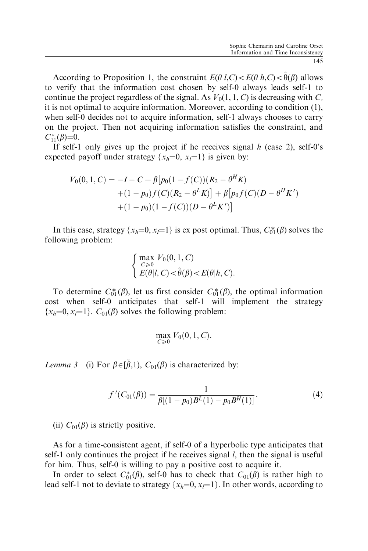According to Proposition 1, the constraint  $E(\theta|l,C) \lt E(\theta|h,C) \lt \theta(\beta)$  allows to verify that the information cost chosen by self-0 always leads self-1 to continue the project regardless of the signal. As  $V_0(1, 1, C)$  is decreasing with C, it is not optimal to acquire information. Moreover, according to condition (1), when self-0 decides not to acquire information, self-1 always chooses to carry on the project. Then not acquiring information satisfies the constraint, and  $C_{11}^*(\beta)=0.$ 

If self-1 only gives up the project if he receives signal  $h$  (case 2), self-0's expected payoff under strategy  $\{x_h=0, x_l=1\}$  is given by:

$$
V_0(0, 1, C) = -I - C + \beta \left[ p_0 (1 - f(C))(R_2 - \theta^H K) + (1 - p_0) f(C)(R_2 - \theta^L K) \right] + \beta \left[ p_0 f(C)(D - \theta^H K') + (1 - p_0) (1 - f(C))(D - \theta^L K') \right]
$$

In this case, strategy  $\{x_h=0, x_l=1\}$  is ex post optimal. Thus,  $C_0^*(\beta)$  solves the following problem:

$$
\begin{cases}\n\max_{C \ge 0} V_0(0, 1, C) \\
E(\theta | I, C) < \hat{\theta}(\beta) < E(\theta | h, C).\n\end{cases}
$$

To determine  $C_0^*(\beta)$ , let us first consider  $C_0^*(\beta)$ , the optimal information cost when self-0 anticipates that self-1 will implement the strategy  ${x<sub>h</sub>=0, x<sub>l</sub>=1}.$  C<sub>01</sub>( $\beta$ ) solves the following problem:

$$
\max_{C\geq 0} V_0(0,1,C).
$$

Lemma 3 (i) For  $\beta \in [\tilde{\beta},1)$ ,  $C_{01}(\beta)$  is characterized by:

$$
f'(C_{01}(\beta)) = \frac{1}{\beta[(1 - p_0)B^L(1) - p_0B^H(1)]}.
$$
\n(4)

(ii)  $C_{01}(\beta)$  is strictly positive.

As for a time-consistent agent, if self-0 of a hyperbolic type anticipates that self-1 only continues the project if he receives signal *l*, then the signal is useful for him. Thus, self-0 is willing to pay a positive cost to acquire it.

In order to select  $C_{01}^*(\beta)$ , self-0 has to check that  $C_{01}(\beta)$  is rather high to lead self-1 not to deviate to strategy  $\{x_h=0, x_l=1\}$ . In other words, according to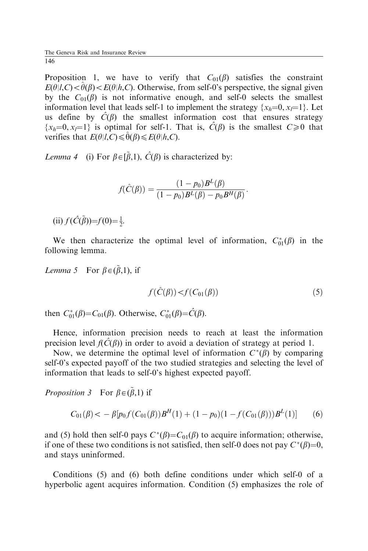Proposition 1, we have to verify that  $C_{01}(\beta)$  satisfies the constraint  $E(\theta|I,C) < \hat{\theta}(\beta) < E(\theta|h,C)$ . Otherwise, from self-0's perspective, the signal given by the  $C_{01}(\beta)$  is not informative enough, and self-0 selects the smallest information level that leads self-1 to implement the strategy  $\{x_h=0, x_{n=1}\}\$ . Let us define by  $\hat{C}(\beta)$  the smallest information cost that ensures strategy  $\{x_h=0, x_l=1\}$  is optimal for self-1. That is,  $\hat{C}(\beta)$  is the smallest  $C\geq 0$  that verifies that  $E(\theta|l, C) \leq \hat{\theta}(\beta) \leq E(\theta|h, C)$ .

*Lemma* 4 (i) For  $\beta \in [\tilde{\beta}, 1)$ ,  $\hat{C}(\beta)$  is characterized by:

$$
f(\hat{C}(\beta)) = \frac{(1 - p_0)B^{L}(\beta)}{(1 - p_0)B^{L}(\beta) - p_0B^{H}(\beta)}.
$$

(ii)  $f(\hat{C}(\tilde{\beta}))=f(0)=\frac{1}{2}$ .

We then characterize the optimal level of information,  $C_{01}^*(\beta)$  in the following lemma.

*Lemma* 5 For  $\beta \in (\tilde{\beta}, 1)$ , if

$$
f(\hat{C}(\beta)) < f(C_{01}(\beta))
$$
\n<sup>(5)</sup>

then  $C_{01}^*(\beta) = C_{01}(\beta)$ . Otherwise,  $C_{01}^*(\beta) = \hat{C}(\beta)$ .

Hence, information precision needs to reach at least the information precision level  $f(\hat{C}(\beta))$  in order to avoid a deviation of strategy at period 1.

Now, we determine the optimal level of information  $C^*(\beta)$  by comparing self-0's expected payoff of the two studied strategies and selecting the level of information that leads to self-0's highest expected payoff.

*Proposition 3* For  $\beta \in (\tilde{\beta}, 1)$  if

$$
C_{01}(\beta) < -\beta \left[ p_0 f(C_{01}(\beta)) B^H(1) + (1 - p_0)(1 - f(C_{01}(\beta))) B^L(1) \right] \tag{6}
$$

and (5) hold then self-0 pays  $C^*(\beta) = C_{01}(\beta)$  to acquire information; otherwise, if one of these two conditions is not satisfied, then self-0 does not pay  $C^*(\beta)=0$ , and stays uninformed.

Conditions (5) and (6) both define conditions under which self-0 of a hyperbolic agent acquires information. Condition (5) emphasizes the role of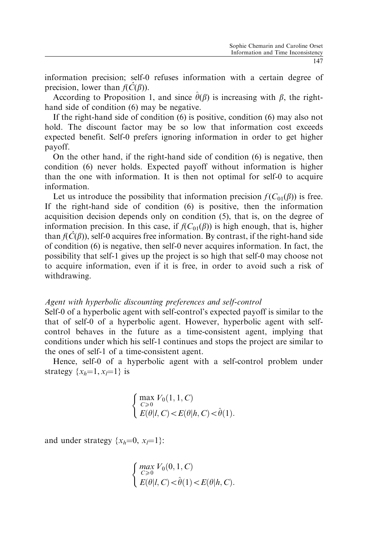information precision; self-0 refuses information with a certain degree of precision, lower than  $f(\hat{C}(\beta))$ .

According to Proposition 1, and since  $\theta(\beta)$  is increasing with  $\beta$ , the righthand side of condition (6) may be negative.

If the right-hand side of condition (6) is positive, condition (6) may also not hold. The discount factor may be so low that information cost exceeds expected benefit. Self-0 prefers ignoring information in order to get higher payoff.

On the other hand, if the right-hand side of condition (6) is negative, then condition (6) never holds. Expected payoff without information is higher than the one with information. It is then not optimal for self-0 to acquire information.

Let us introduce the possibility that information precision  $f(C_{01}(\beta))$  is free. If the right-hand side of condition (6) is positive, then the information acquisition decision depends only on condition (5), that is, on the degree of information precision. In this case, if  $f(C_{01}(\beta))$  is high enough, that is, higher than  $f(\hat{C}(\beta))$ , self-0 acquires free information. By contrast, if the right-hand side of condition (6) is negative, then self-0 never acquires information. In fact, the possibility that self-1 gives up the project is so high that self-0 may choose not to acquire information, even if it is free, in order to avoid such a risk of withdrawing.

### Agent with hyperbolic discounting preferences and self-control

Self-0 of a hyperbolic agent with self-control's expected payoff is similar to the that of self-0 of a hyperbolic agent. However, hyperbolic agent with selfcontrol behaves in the future as a time-consistent agent, implying that conditions under which his self-1 continues and stops the project are similar to the ones of self-1 of a time-consistent agent.

Hence, self-0 of a hyperbolic agent with a self-control problem under strategy  $\{x_h=1, x_l=1\}$  is

$$
\left\{\begin{array}{l}\max\limits_{C\geqslant 0}V_0(1,1,C)\\\sum\limits_{E(\theta|l,C)
$$

and under strategy  $\{x_h=0, x_l=1\}$ :

$$
\begin{cases}\max_{C\geqslant 0}V_0(0,1,C)\\E(\theta|l,C)<\hat{\theta}(1)
$$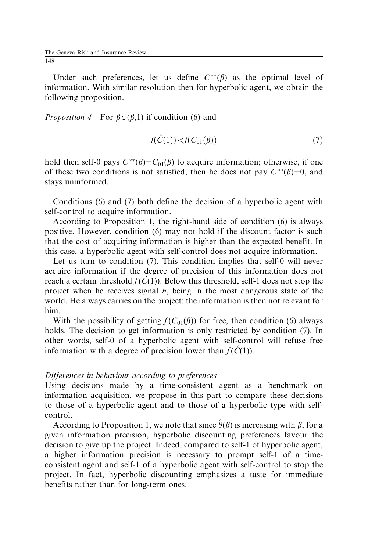Under such preferences, let us define  $C^{**}(\beta)$  as the optimal level of information. With similar resolution then for hyperbolic agent, we obtain the following proposition.

*Proposition* 4 For  $\beta \in (\tilde{\beta}, 1)$  if condition (6) and

$$
f(\hat{C}(1)) < f(C_{01}(\beta))
$$
\n<sup>(7)</sup>

hold then self-0 pays  $C^{**}(\beta)=C_{01}(\beta)$  to acquire information; otherwise, if one of these two conditions is not satisfied, then he does not pay  $C^{**}(\beta)=0$ , and stays uninformed.

Conditions (6) and (7) both define the decision of a hyperbolic agent with self-control to acquire information.

According to Proposition 1, the right-hand side of condition (6) is always positive. However, condition (6) may not hold if the discount factor is such that the cost of acquiring information is higher than the expected benefit. In this case, a hyperbolic agent with self-control does not acquire information.

Let us turn to condition (7). This condition implies that self-0 will never acquire information if the degree of precision of this information does not reach a certain threshold  $f(\hat{C}(1))$ . Below this threshold, self-1 does not stop the project when he receives signal  $h$ , being in the most dangerous state of the world. He always carries on the project: the information is then not relevant for him.

With the possibility of getting  $f(C_{01}(\beta))$  for free, then condition (6) always holds. The decision to get information is only restricted by condition (7). In other words, self-0 of a hyperbolic agent with self-control will refuse free information with a degree of precision lower than  $f(\hat{C}(1))$ .

### Differences in behaviour according to preferences

Using decisions made by a time-consistent agent as a benchmark on information acquisition, we propose in this part to compare these decisions to those of a hyperbolic agent and to those of a hyperbolic type with selfcontrol.

According to Proposition 1, we note that since  $\hat{\theta}(\beta)$  is increasing with  $\beta$ , for a given information precision, hyperbolic discounting preferences favour the decision to give up the project. Indeed, compared to self-1 of hyperbolic agent, a higher information precision is necessary to prompt self-1 of a timeconsistent agent and self-1 of a hyperbolic agent with self-control to stop the project. In fact, hyperbolic discounting emphasizes a taste for immediate benefits rather than for long-term ones.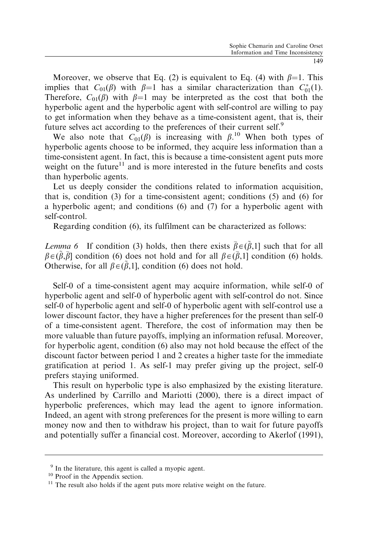Moreover, we observe that Eq. (2) is equivalent to Eq. (4) with  $\beta=1$ . This implies that  $C_{01}(\beta)$  with  $\beta=1$  has a similar characterization than  $C_{01}^*(1)$ . Therefore,  $C_{01}(\beta)$  with  $\beta=1$  may be interpreted as the cost that both the hyperbolic agent and the hyperbolic agent with self-control are willing to pay to get information when they behave as a time-consistent agent, that is, their future selves act according to the preferences of their current self.<sup>9</sup>

We also note that  $C_{01}(\beta)$  is increasing with  $\beta$ .<sup>10</sup> When both types of hyperbolic agents choose to be informed, they acquire less information than a time-consistent agent. In fact, this is because a time-consistent agent puts more weight on the future $11$  and is more interested in the future benefits and costs than hyperbolic agents.

Let us deeply consider the conditions related to information acquisition, that is, condition (3) for a time-consistent agent; conditions (5) and (6) for a hyperbolic agent; and conditions (6) and (7) for a hyperbolic agent with self-control.

Regarding condition (6), its fulfilment can be characterized as follows:

*Lemma 6* If condition (3) holds, then there exists  $\bar{\beta} \in (\tilde{\beta}, 1]$  such that for all  $\beta \in (\tilde{\beta}, \bar{\beta}]$  condition (6) does not hold and for all  $\beta \in (\bar{\beta}, 1]$  condition (6) holds. Otherwise, for all  $\beta \in (\tilde{\beta}, 1]$ , condition (6) does not hold.

Self-0 of a time-consistent agent may acquire information, while self-0 of hyperbolic agent and self-0 of hyperbolic agent with self-control do not. Since self-0 of hyperbolic agent and self-0 of hyperbolic agent with self-control use a lower discount factor, they have a higher preferences for the present than self-0 of a time-consistent agent. Therefore, the cost of information may then be more valuable than future payoffs, implying an information refusal. Moreover, for hyperbolic agent, condition (6) also may not hold because the effect of the discount factor between period 1 and 2 creates a higher taste for the immediate gratification at period 1. As self-1 may prefer giving up the project, self-0 prefers staying uniformed.

This result on hyperbolic type is also emphasized by the existing literature. As underlined by Carrillo and Mariotti (2000), there is a direct impact of hyperbolic preferences, which may lead the agent to ignore information. Indeed, an agent with strong preferences for the present is more willing to earn money now and then to withdraw his project, than to wait for future payoffs and potentially suffer a financial cost. Moreover, according to Akerlof (1991),

 $9 \text{ In the literature, this agent is called a myopic agent.}$  10 Proof in the Appendix section.

<sup>&</sup>lt;sup>11</sup> The result also holds if the agent puts more relative weight on the future.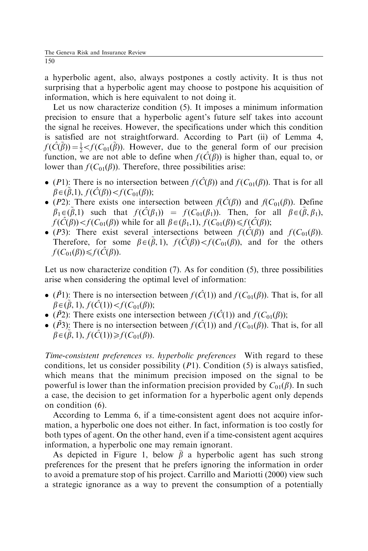a hyperbolic agent, also, always postpones a costly activity. It is thus not surprising that a hyperbolic agent may choose to postpone his acquisition of information, which is here equivalent to not doing it.

Let us now characterize condition (5). It imposes a minimum information precision to ensure that a hyperbolic agent's future self takes into account the signal he receives. However, the specifications under which this condition is satisfied are not straightforward. According to Part (ii) of Lemma 4,  $f(\hat{C}(\tilde{\beta})) = \frac{1}{2} < f(C_{01}(\tilde{\beta}))$ . However, due to the general form of our precision function, we are not able to define when  $f(\hat{C}(\beta))$  is higher than, equal to, or lower than  $f(C_{01}(\beta))$ . Therefore, three possibilities arise:

- (P1): There is no intersection between  $f(\hat{C}(\beta))$  and  $f(C_{01}(\beta))$ . That is for all  $\beta \in (\tilde{\beta}, 1), f(\hat{C}(\beta)) < f(C_{01}(\beta));$
- (P2): There exists one intersection between  $f(\hat{C}(\beta))$  and  $f(C_{01}(\beta))$ . Define  $\beta_1 \in (\tilde{\beta}, 1)$  such that  $f(\hat{C}(\beta_1)) = f(C_{01}(\beta_1))$ . Then, for all  $\beta \in (\tilde{\beta}, \beta_1)$ ,  $f(\hat{C}(\beta)) < f(C_{01}(\beta))$  while for all  $\beta \in (\beta_1,1)$ ,  $f(C_{01}(\beta)) \leq f(\hat{C}(\beta))$ ;
- (P3): There exist several intersections between  $f(\hat{C}(\beta))$  and  $f(C_{01}(\beta))$ . Therefore, for some  $\beta \in (\tilde{\beta}, 1)$ ,  $f(\hat{C}(\beta)) < f(C_{01}(\beta))$ , and for the others  $f(C_{01}(\beta)) \leqslant f(\hat{C}(\beta)).$

Let us now characterize condition (7). As for condition (5), three possibilities arise when considering the optimal level of information:

- $(\tilde{P}I)$ : There is no intersection between  $f(\tilde{C}(1))$  and  $f(C_{01}(\beta))$ . That is, for all  $\beta \in (\tilde{\beta}, 1), f(\hat{C}(1)) < f(C_{01}(\beta));$
- ( $\tilde{P}$ 2): There exists one intersection between  $f(\tilde{C}(1))$  and  $f(C_{01}(\beta))$ ;
- $(\tilde{P3})$ : There is no intersection between  $f(\hat{C}(1))$  and  $f(C_{01}(\beta))$ . That is, for all  $\beta \in (\tilde{\beta}, 1), f(\hat{C}(1)) \ge f(C_{01}(\beta)).$

Time-consistent preferences vs. hyperbolic preferences With regard to these conditions, let us consider possibility  $(P1)$ . Condition (5) is always satisfied, which means that the minimum precision imposed on the signal to be powerful is lower than the information precision provided by  $C_{01}(\beta)$ . In such a case, the decision to get information for a hyperbolic agent only depends on condition (6).

According to Lemma 6, if a time-consistent agent does not acquire information, a hyperbolic one does not either. In fact, information is too costly for both types of agent. On the other hand, even if a time-consistent agent acquires information, a hyperbolic one may remain ignorant.

As depicted in Figure 1, below  $\bar{\beta}$  a hyperbolic agent has such strong preferences for the present that he prefers ignoring the information in order to avoid a premature stop of his project. Carrillo and Mariotti (2000) view such a strategic ignorance as a way to prevent the consumption of a potentially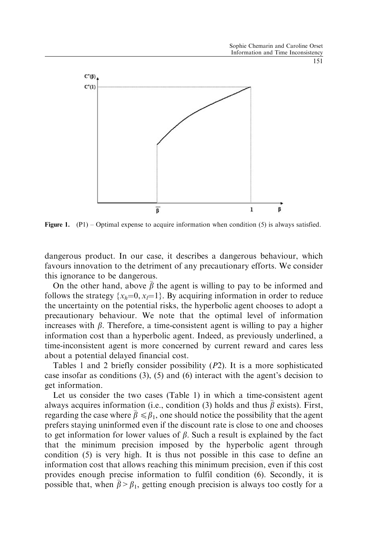

**Figure 1.** (P1) – Optimal expense to acquire information when condition (5) is always satisfied.

dangerous product. In our case, it describes a dangerous behaviour, which favours innovation to the detriment of any precautionary efforts. We consider this ignorance to be dangerous.

On the other hand, above  $\bar{\beta}$  the agent is willing to pay to be informed and follows the strategy  $\{x_h=0, x_l=1\}$ . By acquiring information in order to reduce the uncertainty on the potential risks, the hyperbolic agent chooses to adopt a precautionary behaviour. We note that the optimal level of information increases with  $\beta$ . Therefore, a time-consistent agent is willing to pay a higher information cost than a hyperbolic agent. Indeed, as previously underlined, a time-inconsistent agent is more concerned by current reward and cares less about a potential delayed financial cost.

Tables 1 and 2 briefly consider possibility (P2). It is a more sophisticated case insofar as conditions (3), (5) and (6) interact with the agent's decision to get information.

Let us consider the two cases (Table 1) in which a time-consistent agent always acquires information (i.e., condition (3) holds and thus  $\bar{\beta}$  exists). First, regarding the case where  $\bar{\beta} \le \beta_1$ , one should notice the possibility that the agent prefers staying uninformed even if the discount rate is close to one and chooses to get information for lower values of  $\beta$ . Such a result is explained by the fact that the minimum precision imposed by the hyperbolic agent through condition (5) is very high. It is thus not possible in this case to define an information cost that allows reaching this minimum precision, even if this cost provides enough precise information to fulfil condition (6). Secondly, it is possible that, when  $\bar{\beta} > \beta_1$ , getting enough precision is always too costly for a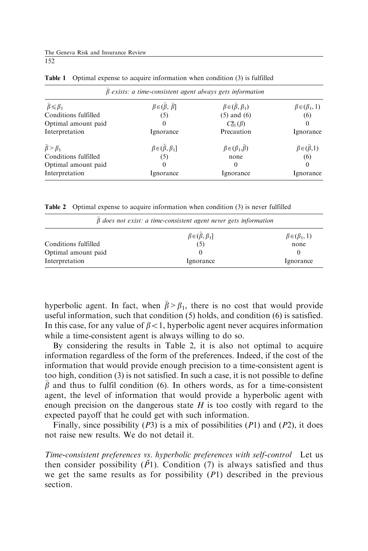The Geneva Risk and Insurance Review 152

| $\beta$ exists: a time-consistent agent always gets information |                                          |                                    |                              |  |  |
|-----------------------------------------------------------------|------------------------------------------|------------------------------------|------------------------------|--|--|
| $\bar{\beta} \leq \beta_1$                                      | $\beta \in (\tilde{\beta}, \bar{\beta}]$ | $\beta \in (\bar{\beta}, \beta_1)$ | $\beta \in (\beta_1, 1)$     |  |  |
| Conditions fulfilled                                            | (5)                                      | $(5)$ and $(6)$                    | (6)                          |  |  |
| Optimal amount paid                                             | $^{(1)}$                                 | $C_{01}^*(\beta)$                  |                              |  |  |
| Interpretation                                                  | Ignorance                                | Precaution                         | Ignorance                    |  |  |
| $\bar{\beta} > \beta_1$                                         | $\beta \in (\tilde{\beta}, \beta_1]$     | $\beta \in (\beta_1, \beta)$       | $\beta \in (\bar{\beta}, 1)$ |  |  |
| Conditions fulfilled                                            | (5)                                      | none                               | (6)                          |  |  |
| Optimal amount paid                                             | $\theta$                                 | $_{0}$                             | $\Omega$                     |  |  |
| Interpretation                                                  | Ignorance                                | Ignorance                          | Ignorance                    |  |  |

Table 1 Optimal expense to acquire information when condition (3) is fulfilled

Table 2 Optimal expense to acquire information when condition (3) is never fulfilled

| $\beta$ does not exist: a time-consistent agent never gets information |                              |                          |  |  |
|------------------------------------------------------------------------|------------------------------|--------------------------|--|--|
|                                                                        | $\beta \in (\beta, \beta_1]$ | $\beta \in (\beta_1, 1)$ |  |  |
| Conditions fulfilled                                                   | (5)                          | none                     |  |  |
| Optimal amount paid                                                    |                              |                          |  |  |
| Interpretation                                                         | Ignorance                    | Ignorance                |  |  |

hyperbolic agent. In fact, when  $\bar{\beta} > \beta_1$ , there is no cost that would provide useful information, such that condition (5) holds, and condition (6) is satisfied. In this case, for any value of  $\beta < 1$ , hyperbolic agent never acquires information while a time-consistent agent is always willing to do so.

By considering the results in Table 2, it is also not optimal to acquire information regardless of the form of the preferences. Indeed, if the cost of the information that would provide enough precision to a time-consistent agent is too high, condition (3) is not satisfied. In such a case, it is not possible to define  $\bar{\beta}$  and thus to fulfil condition (6). In others words, as for a time-consistent agent, the level of information that would provide a hyperbolic agent with enough precision on the dangerous state  $H$  is too costly with regard to the expected payoff that he could get with such information.

Finally, since possibility  $(P3)$  is a mix of possibilities  $(P1)$  and  $(P2)$ , it does not raise new results. We do not detail it.

Time-consistent preferences vs. hyperbolic preferences with self-control Let us then consider possibility  $(\tilde{P}1)$ . Condition (7) is always satisfied and thus we get the same results as for possibility  $(P1)$  described in the previous section.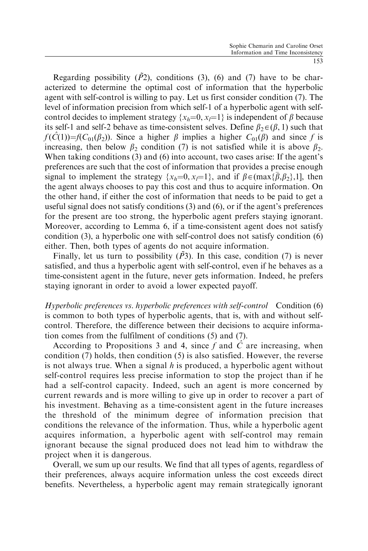Regarding possibility  $(\tilde{P}2)$ , conditions (3), (6) and (7) have to be characterized to determine the optimal cost of information that the hyperbolic agent with self-control is willing to pay. Let us first consider condition (7). The level of information precision from which self-1 of a hyperbolic agent with selfcontrol decides to implement strategy  $\{x_h=0, x=1\}$  is independent of  $\beta$  because its self-1 and self-2 behave as time-consistent selves. Define  $\beta_2 \in (\beta, 1)$  such that  $f(\hat{C}(1))=f(C_{01}(\beta_2))$ . Since a higher  $\beta$  implies a higher  $C_{01}(\beta)$  and since f is increasing, then below  $\beta_2$  condition (7) is not satisfied while it is above  $\beta_2$ . When taking conditions (3) and (6) into account, two cases arise: If the agent's preferences are such that the cost of information that provides a precise enough signal to implement the strategy  $\{x_h=0, x_l=1\}$ , and if  $\beta \in (\max{\{\overline{\beta}, \beta_2\}}, 1]$ , then the agent always chooses to pay this cost and thus to acquire information. On the other hand, if either the cost of information that needs to be paid to get a useful signal does not satisfy conditions  $(3)$  and  $(6)$ , or if the agent's preferences for the present are too strong, the hyperbolic agent prefers staying ignorant. Moreover, according to Lemma 6, if a time-consistent agent does not satisfy condition (3), a hyperbolic one with self-control does not satisfy condition (6) either. Then, both types of agents do not acquire information.

Finally, let us turn to possibility  $(\tilde{P}3)$ . In this case, condition (7) is never satisfied, and thus a hyperbolic agent with self-control, even if he behaves as a time-consistent agent in the future, never gets information. Indeed, he prefers staying ignorant in order to avoid a lower expected payoff.

Hyperbolic preferences vs. hyperbolic preferences with self-control Condition (6) is common to both types of hyperbolic agents, that is, with and without selfcontrol. Therefore, the difference between their decisions to acquire information comes from the fulfilment of conditions (5) and (7).

According to Propositions 3 and 4, since f and  $\hat{C}$  are increasing, when condition (7) holds, then condition (5) is also satisfied. However, the reverse is not always true. When a signal h is produced, a hyperbolic agent without self-control requires less precise information to stop the project than if he had a self-control capacity. Indeed, such an agent is more concerned by current rewards and is more willing to give up in order to recover a part of his investment. Behaving as a time-consistent agent in the future increases the threshold of the minimum degree of information precision that conditions the relevance of the information. Thus, while a hyperbolic agent acquires information, a hyperbolic agent with self-control may remain ignorant because the signal produced does not lead him to withdraw the project when it is dangerous.

Overall, we sum up our results. We find that all types of agents, regardless of their preferences, always acquire information unless the cost exceeds direct benefits. Nevertheless, a hyperbolic agent may remain strategically ignorant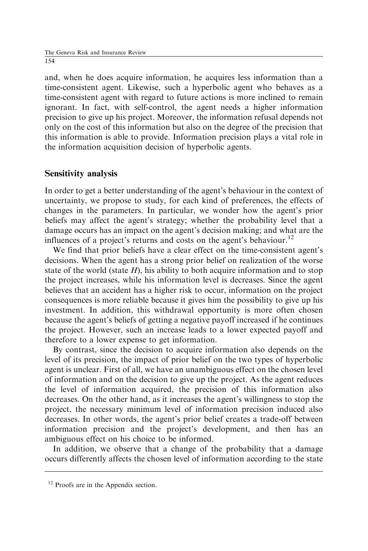and, when he does acquire information, he acquires less information than a time-consistent agent. Likewise, such a hyperbolic agent who behaves as a time-consistent agent with regard to future actions is more inclined to remain ignorant. In fact, with self-control, the agent needs a higher information precision to give up his project. Moreover, the information refusal depends not only on the cost of this information but also on the degree of the precision that this information is able to provide. Information precision plays a vital role in the information acquisition decision of hyperbolic agents.

# Sensitivity analysis

In order to get a better understanding of the agent's behaviour in the context of uncertainty, we propose to study, for each kind of preferences, the effects of changes in the parameters. In particular, we wonder how the agent's prior beliefs may affect the agent's strategy; whether the probability level that a damage occurs has an impact on the agent's decision making; and what are the influences of a project's returns and costs on the agent's behaviour.<sup>12</sup>

We find that prior beliefs have a clear effect on the time-consistent agent's decisions. When the agent has a strong prior belief on realization of the worse state of the world (state  $H$ ), his ability to both acquire information and to stop the project increases, while his information level is decreases. Since the agent believes that an accident has a higher risk to occur, information on the project consequences is more reliable because it gives him the possibility to give up his investment. In addition, this withdrawal opportunity is more often chosen because the agent's beliefs of getting a negative payoff increased if he continues the project. However, such an increase leads to a lower expected payoff and therefore to a lower expense to get information.

By contrast, since the decision to acquire information also depends on the level of its precision, the impact of prior belief on the two types of hyperbolic agent is unclear. First of all, we have an unambiguous effect on the chosen level of information and on the decision to give up the project. As the agent reduces the level of information acquired, the precision of this information also decreases. On the other hand, as it increases the agent's willingness to stop the project, the necessary minimum level of information precision induced also decreases. In other words, the agent's prior belief creates a trade-off between information precision and the project's development, and then has an ambiguous effect on his choice to be informed.

In addition, we observe that a change of the probability that a damage occurs differently affects the chosen level of information according to the state

<sup>&</sup>lt;sup>12</sup> Proofs are in the Appendix section.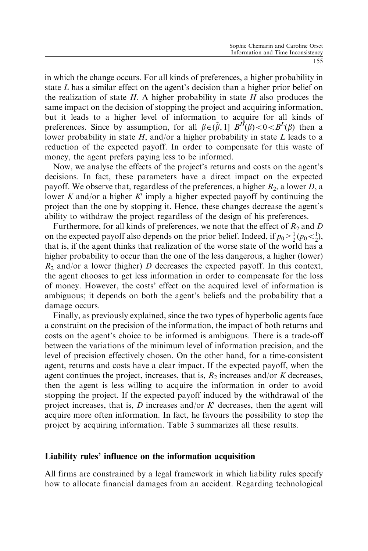in which the change occurs. For all kinds of preferences, a higher probability in state L has a similar effect on the agent's decision than a higher prior belief on the realization of state  $H$ . A higher probability in state  $H$  also produces the same impact on the decision of stopping the project and acquiring information, but it leads to a higher level of information to acquire for all kinds of preferences. Since by assumption, for all  $\beta \in (\tilde{\beta}, 1]$   $B^H(\beta) < 0 < B^L(\beta)$  then a lower probability in state  $H$ , and/or a higher probability in state  $L$  leads to a reduction of the expected payoff. In order to compensate for this waste of money, the agent prefers paying less to be informed.

Now, we analyse the effects of the project's returns and costs on the agent's decisions. In fact, these parameters have a direct impact on the expected payoff. We observe that, regardless of the preferences, a higher  $R_2$ , a lower D, a lower K and/or a higher K' imply a higher expected payoff by continuing the project than the one by stopping it. Hence, these changes decrease the agent's ability to withdraw the project regardless of the design of his preferences.

Furthermore, for all kinds of preferences, we note that the effect of  $R_2$  and D on the expected payoff also depends on the prior belief. Indeed, if  $p_0 > \frac{1}{2}(p_0 < \frac{1}{2})$ , that is, if the agent thinks that realization of the worse state of the world has a higher probability to occur than the one of the less dangerous, a higher (lower)  $R_2$  and/or a lower (higher) D decreases the expected payoff. In this context, the agent chooses to get less information in order to compensate for the loss of money. However, the costs' effect on the acquired level of information is ambiguous; it depends on both the agent's beliefs and the probability that a damage occurs.

Finally, as previously explained, since the two types of hyperbolic agents face a constraint on the precision of the information, the impact of both returns and costs on the agent's choice to be informed is ambiguous. There is a trade-off between the variations of the minimum level of information precision, and the level of precision effectively chosen. On the other hand, for a time-consistent agent, returns and costs have a clear impact. If the expected payoff, when the agent continues the project, increases, that is,  $R_2$  increases and/or K decreases, then the agent is less willing to acquire the information in order to avoid stopping the project. If the expected payoff induced by the withdrawal of the project increases, that is, D increases and/or  $K<sup>7</sup>$  decreases, then the agent will acquire more often information. In fact, he favours the possibility to stop the project by acquiring information. Table 3 summarizes all these results.

### Liability rules' influence on the information acquisition

All firms are constrained by a legal framework in which liability rules specify how to allocate financial damages from an accident. Regarding technological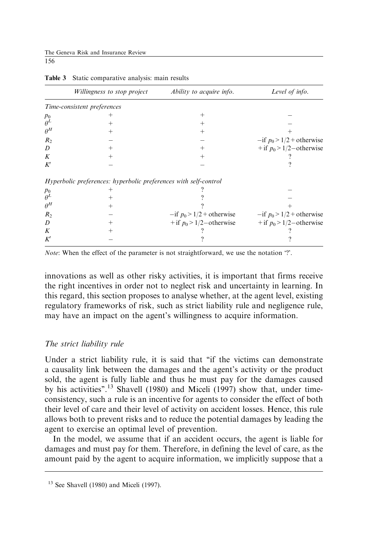The Geneva Risk and Insurance Review 156

|                | <i>Willingness to stop project</i>                               | Ability to acquire info.       | Level of info.                 |
|----------------|------------------------------------------------------------------|--------------------------------|--------------------------------|
|                | Time-consistent preferences                                      |                                |                                |
| $p_0$          | $^+$                                                             | $^{+}$                         |                                |
| $\theta^L$     | $^+$                                                             | $^+$                           |                                |
| $\theta^H$     | $^{+}$                                                           | $^{+}$                         |                                |
| $R_{2}$        |                                                                  |                                | $-$ if $p_0 > 1/2$ + otherwise |
| D              | $^{+}$                                                           | $^+$                           | + if $p_0$ > 1/2 – otherwise   |
| K              | $^{+}$                                                           | $^{+}$                         |                                |
| K'             |                                                                  |                                |                                |
|                | Hyperbolic preferences: hyperbolic preferences with self-control |                                |                                |
| $p_0$          |                                                                  |                                |                                |
| $\theta^L$     |                                                                  |                                |                                |
| $\theta^H$     | $^+$                                                             |                                |                                |
| R <sub>2</sub> |                                                                  | $-$ if $p_0 > 1/2$ + otherwise | $-$ if $p_0 > 1/2$ + otherwise |
| D              |                                                                  | + if $p_0$ > 1/2 – otherwise   | + if $p_0$ > 1/2 – otherwise   |
| K              |                                                                  |                                |                                |
| K'             |                                                                  |                                |                                |

Table 3 Static comparative analysis: main results

Note: When the effect of the parameter is not straightforward, we use the notation '?'.

innovations as well as other risky activities, it is important that firms receive the right incentives in order not to neglect risk and uncertainty in learning. In this regard, this section proposes to analyse whether, at the agent level, existing regulatory frameworks of risk, such as strict liability rule and negligence rule, may have an impact on the agent's willingness to acquire information.

### The strict liability rule

Under a strict liability rule, it is said that "if the victims can demonstrate a causality link between the damages and the agent's activity or the product sold, the agent is fully liable and thus he must pay for the damages caused by his activities".<sup>13</sup> Shavell (1980) and Miceli (1997) show that, under timeconsistency, such a rule is an incentive for agents to consider the effect of both their level of care and their level of activity on accident losses. Hence, this rule allows both to prevent risks and to reduce the potential damages by leading the agent to exercise an optimal level of prevention.

In the model, we assume that if an accident occurs, the agent is liable for damages and must pay for them. Therefore, in defining the level of care, as the amount paid by the agent to acquire information, we implicitly suppose that a

 $13$  See Shavell (1980) and Miceli (1997).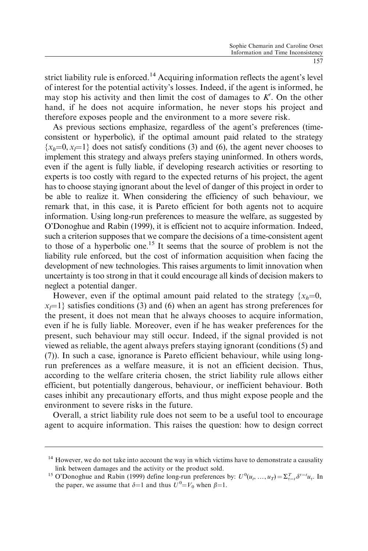strict liability rule is enforced.<sup>14</sup> Acquiring information reflects the agent's level of interest for the potential activity's losses. Indeed, if the agent is informed, he may stop his activity and then limit the cost of damages to  $K'$ . On the other hand, if he does not acquire information, he never stops his project and therefore exposes people and the environment to a more severe risk.

As previous sections emphasize, regardless of the agent's preferences (timeconsistent or hyperbolic), if the optimal amount paid related to the strategy  ${x<sub>h</sub>=0, x<sub>i</sub>=1}$  does not satisfy conditions (3) and (6), the agent never chooses to implement this strategy and always prefers staying uninformed. In others words, even if the agent is fully liable, if developing research activities or resorting to experts is too costly with regard to the expected returns of his project, the agent has to choose staying ignorant about the level of danger of this project in order to be able to realize it. When considering the efficiency of such behaviour, we remark that, in this case, it is Pareto efficient for both agents not to acquire information. Using long-run preferences to measure the welfare, as suggested by O'Donoghue and Rabin (1999), it is efficient not to acquire information. Indeed, such a criterion supposes that we compare the decisions of a time-consistent agent to those of a hyperbolic one.<sup>15</sup> It seems that the source of problem is not the liability rule enforced, but the cost of information acquisition when facing the development of new technologies. This raises arguments to limit innovation when uncertainty is too strong in that it could encourage all kinds of decision makers to neglect a potential danger.

However, even if the optimal amount paid related to the strategy  $\{x_h=0,$  $x_i=1$  satisfies conditions (3) and (6) when an agent has strong preferences for the present, it does not mean that he always chooses to acquire information, even if he is fully liable. Moreover, even if he has weaker preferences for the present, such behaviour may still occur. Indeed, if the signal provided is not viewed as reliable, the agent always prefers staying ignorant (conditions (5) and (7)). In such a case, ignorance is Pareto efficient behaviour, while using longrun preferences as a welfare measure, it is not an efficient decision. Thus, according to the welfare criteria chosen, the strict liability rule allows either efficient, but potentially dangerous, behaviour, or inefficient behaviour. Both cases inhibit any precautionary efforts, and thus might expose people and the environment to severe risks in the future.

Overall, a strict liability rule does not seem to be a useful tool to encourage agent to acquire information. This raises the question: how to design correct

 $14$  However, we do not take into account the way in which victims have to demonstrate a causality

link between damages and the activity or the product sold.<br><sup>15</sup> O'Donoghue and Rabin (1999) define long-run preferences by:  $U^0(u_t, ..., u_T) = \sum_{\tau=1}^T \delta^{\tau=1} u_{\tau}$ . In the paper, we assume that  $\delta=1$  and thus  $U^0 = V_0$  when  $\beta=1$ .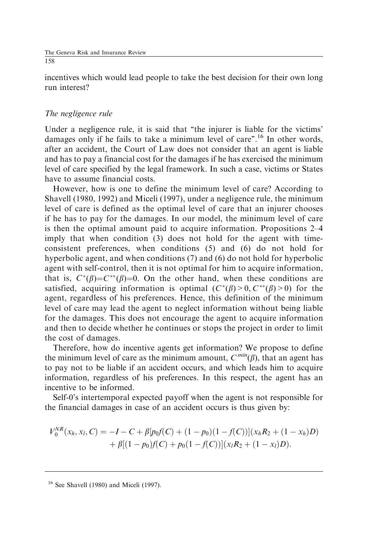incentives which would lead people to take the best decision for their own long run interest?

# The negligence rule

Under a negligence rule, it is said that ''the injurer is liable for the victims' damages only if he fails to take a minimum level of care".<sup>16</sup> In other words, after an accident, the Court of Law does not consider that an agent is liable and has to pay a financial cost for the damages if he has exercised the minimum level of care specified by the legal framework. In such a case, victims or States have to assume financial costs.

However, how is one to define the minimum level of care? According to Shavell (1980, 1992) and Miceli (1997), under a negligence rule, the minimum level of care is defined as the optimal level of care that an injurer chooses if he has to pay for the damages. In our model, the minimum level of care is then the optimal amount paid to acquire information. Propositions 2–4 imply that when condition (3) does not hold for the agent with timeconsistent preferences, when conditions (5) and (6) do not hold for hyperbolic agent, and when conditions (7) and (6) do not hold for hyperbolic agent with self-control, then it is not optimal for him to acquire information, that is,  $C^*(\beta) = C^{**}(\beta) = 0$ . On the other hand, when these conditions are satisfied, acquiring information is optimal  $(C^*(\beta) > 0, C^{**}(\beta) > 0)$  for the agent, regardless of his preferences. Hence, this definition of the minimum level of care may lead the agent to neglect information without being liable for the damages. This does not encourage the agent to acquire information and then to decide whether he continues or stops the project in order to limit the cost of damages.

Therefore, how do incentive agents get information? We propose to define the minimum level of care as the minimum amount,  $C^{min}(\beta)$ , that an agent has to pay not to be liable if an accident occurs, and which leads him to acquire information, regardless of his preferences. In this respect, the agent has an incentive to be informed.

Self-0's intertemporal expected payoff when the agent is not responsible for the financial damages in case of an accident occurs is thus given by:

$$
V_0^{NR}(x_h, x_l, C) = -I - C + \beta [p_0 f(C) + (1 - p_0)(1 - f(C))](x_h R_2 + (1 - x_h)D)
$$
  
+  $\beta [(1 - p_0)f(C) + p_0(1 - f(C))](x_l R_2 + (1 - x_l)D).$ 

<sup>16</sup> See Shavell (1980) and Miceli (1997).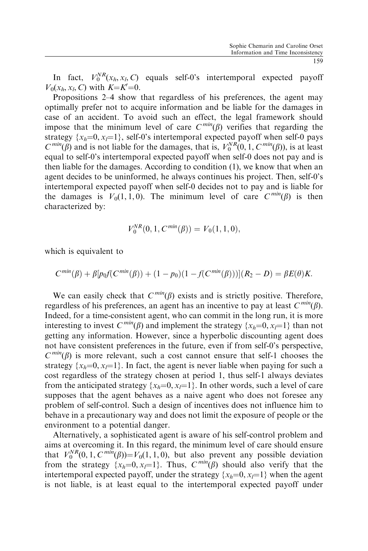In fact,  $V_0^{NR}(x_h, x_h, C)$  equals self-0's intertemporal expected payoff  $V_0(x_h, x_l, C)$  with  $K = K' = 0$ .

Propositions 2–4 show that regardless of his preferences, the agent may optimally prefer not to acquire information and be liable for the damages in case of an accident. To avoid such an effect, the legal framework should impose that the minimum level of care  $C^{min}(\beta)$  verifies that regarding the strategy  $\{x_h=0, x_l=1\}$ , self-0's intertemporal expected payoff when self-0 pays  $C^{min}(\beta)$  and is not liable for the damages, that is,  $V_0^{NR}(0, 1, C^{min}(\beta))$ , is at least equal to self-0's intertemporal expected payoff when self-0 does not pay and is then liable for the damages. According to condition (1), we know that when an agent decides to be uninformed, he always continues his project. Then, self-0's intertemporal expected payoff when self-0 decides not to pay and is liable for the damages is  $V_0(1, 1, 0)$ . The minimum level of care  $C^{min}(\beta)$  is then characterized by:

$$
V_0^{NR}(0,1,C^{min}(\beta))=V_0(1,1,0),
$$

which is equivalent to

$$
C^{min}(\beta) + \beta \left[ p_0 f(C^{min}(\beta)) + (1 - p_0)(1 - f(C^{min}(\beta))) \right] (R_2 - D) = \beta E(\theta) K.
$$

We can easily check that  $C^{min}(\beta)$  exists and is strictly positive. Therefore, regardless of his preferences, an agent has an incentive to pay at least  $C^{min}(\beta)$ . Indeed, for a time-consistent agent, who can commit in the long run, it is more interesting to invest  $C^{min}(\beta)$  and implement the strategy  $\{x_h=0, x_l=1\}$  than not getting any information. However, since a hyperbolic discounting agent does not have consistent preferences in the future, even if from self-0's perspective,  $C^{min}(\beta)$  is more relevant, such a cost cannot ensure that self-1 chooses the strategy  $\{x_h=0, x_l=1\}$ . In fact, the agent is never liable when paying for such a cost regardless of the strategy chosen at period 1, thus self-1 always deviates from the anticipated strategy  $\{x_h=0, x_l=1\}$ . In other words, such a level of care supposes that the agent behaves as a naive agent who does not foresee any problem of self-control. Such a design of incentives does not influence him to behave in a precautionary way and does not limit the exposure of people or the environment to a potential danger.

Alternatively, a sophisticated agent is aware of his self-control problem and aims at overcoming it. In this regard, the minimum level of care should ensure that  $V_0^{NR}(0, 1, C^{min}(\beta)) = V_0(1, 1, 0)$ , but also prevent any possible deviation from the strategy  $\{x_h=0, x_l=1\}$ . Thus,  $C^{min}(\beta)$  should also verify that the intertemporal expected payoff, under the strategy  $\{x_h=0, x_l=1\}$  when the agent is not liable, is at least equal to the intertemporal expected payoff under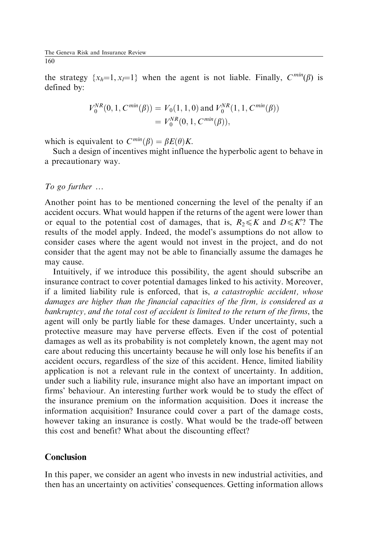the strategy  $\{x_h=1, x_l=1\}$  when the agent is not liable. Finally,  $C^{min}(\beta)$  is defined by:

$$
V_0^{NR}(0, 1, C^{min}(\beta)) = V_0(1, 1, 0) \text{ and } V_0^{NR}(1, 1, C^{min}(\beta))
$$
  
=  $V_0^{NR}(0, 1, C^{min}(\beta)),$ 

which is equivalent to  $C^{min}(\beta) = \beta E(\theta) K$ .

Such a design of incentives might influence the hyperbolic agent to behave in a precautionary way.

To go further  $\ldots$ 

Another point has to be mentioned concerning the level of the penalty if an accident occurs. What would happen if the returns of the agent were lower than or equal to the potential cost of damages, that is,  $R_2 \le K$  and  $D \le K$ ? The results of the model apply. Indeed, the model's assumptions do not allow to consider cases where the agent would not invest in the project, and do not consider that the agent may not be able to financially assume the damages he may cause.

Intuitively, if we introduce this possibility, the agent should subscribe an insurance contract to cover potential damages linked to his activity. Moreover, if a limited liability rule is enforced, that is, a catastrophic accident, whose damages are higher than the financial capacities of the firm, is considered as a bankruptcy, and the total cost of accident is limited to the return of the firms, the agent will only be partly liable for these damages. Under uncertainty, such a protective measure may have perverse effects. Even if the cost of potential damages as well as its probability is not completely known, the agent may not care about reducing this uncertainty because he will only lose his benefits if an accident occurs, regardless of the size of this accident. Hence, limited liability application is not a relevant rule in the context of uncertainty. In addition, under such a liability rule, insurance might also have an important impact on firms' behaviour. An interesting further work would be to study the effect of the insurance premium on the information acquisition. Does it increase the information acquisition? Insurance could cover a part of the damage costs, however taking an insurance is costly. What would be the trade-off between this cost and benefit? What about the discounting effect?

# **Conclusion**

In this paper, we consider an agent who invests in new industrial activities, and then has an uncertainty on activities' consequences. Getting information allows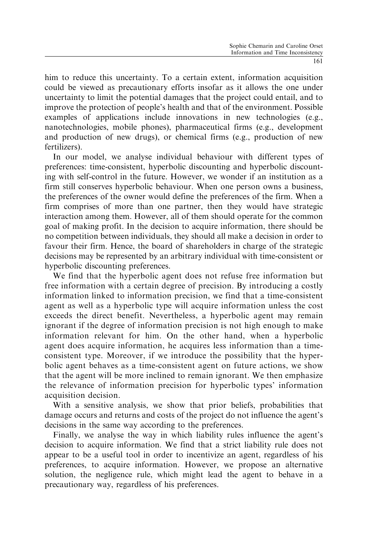him to reduce this uncertainty. To a certain extent, information acquisition could be viewed as precautionary efforts insofar as it allows the one under uncertainty to limit the potential damages that the project could entail, and to improve the protection of people's health and that of the environment. Possible examples of applications include innovations in new technologies (e.g., nanotechnologies, mobile phones), pharmaceutical firms (e.g., development and production of new drugs), or chemical firms (e.g., production of new fertilizers).

In our model, we analyse individual behaviour with different types of preferences: time-consistent, hyperbolic discounting and hyperbolic discounting with self-control in the future. However, we wonder if an institution as a firm still conserves hyperbolic behaviour. When one person owns a business, the preferences of the owner would define the preferences of the firm. When a firm comprises of more than one partner, then they would have strategic interaction among them. However, all of them should operate for the common goal of making profit. In the decision to acquire information, there should be no competition between individuals, they should all make a decision in order to favour their firm. Hence, the board of shareholders in charge of the strategic decisions may be represented by an arbitrary individual with time-consistent or hyperbolic discounting preferences.

We find that the hyperbolic agent does not refuse free information but free information with a certain degree of precision. By introducing a costly information linked to information precision, we find that a time-consistent agent as well as a hyperbolic type will acquire information unless the cost exceeds the direct benefit. Nevertheless, a hyperbolic agent may remain ignorant if the degree of information precision is not high enough to make information relevant for him. On the other hand, when a hyperbolic agent does acquire information, he acquires less information than a timeconsistent type. Moreover, if we introduce the possibility that the hyperbolic agent behaves as a time-consistent agent on future actions, we show that the agent will be more inclined to remain ignorant. We then emphasize the relevance of information precision for hyperbolic types' information acquisition decision.

With a sensitive analysis, we show that prior beliefs, probabilities that damage occurs and returns and costs of the project do not influence the agent's decisions in the same way according to the preferences.

Finally, we analyse the way in which liability rules influence the agent's decision to acquire information. We find that a strict liability rule does not appear to be a useful tool in order to incentivize an agent, regardless of his preferences, to acquire information. However, we propose an alternative solution, the negligence rule, which might lead the agent to behave in a precautionary way, regardless of his preferences.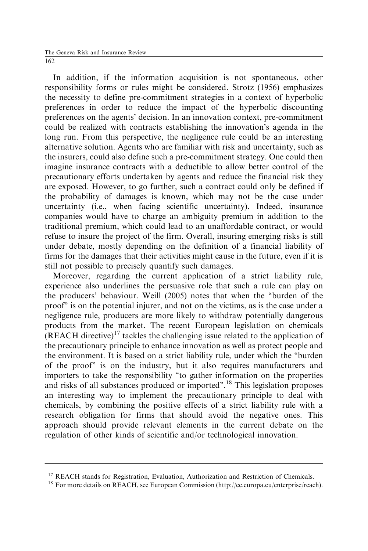In addition, if the information acquisition is not spontaneous, other responsibility forms or rules might be considered. Strotz (1956) emphasizes the necessity to define pre-commitment strategies in a context of hyperbolic preferences in order to reduce the impact of the hyperbolic discounting preferences on the agents' decision. In an innovation context, pre-commitment could be realized with contracts establishing the innovation's agenda in the long run. From this perspective, the negligence rule could be an interesting alternative solution. Agents who are familiar with risk and uncertainty, such as the insurers, could also define such a pre-commitment strategy. One could then imagine insurance contracts with a deductible to allow better control of the precautionary efforts undertaken by agents and reduce the financial risk they are exposed. However, to go further, such a contract could only be defined if the probability of damages is known, which may not be the case under uncertainty (i.e., when facing scientific uncertainty). Indeed, insurance companies would have to charge an ambiguity premium in addition to the traditional premium, which could lead to an unaffordable contract, or would refuse to insure the project of the firm. Overall, insuring emerging risks is still under debate, mostly depending on the definition of a financial liability of firms for the damages that their activities might cause in the future, even if it is still not possible to precisely quantify such damages.

Moreover, regarding the current application of a strict liability rule, experience also underlines the persuasive role that such a rule can play on the producers' behaviour. Weill (2005) notes that when the ''burden of the proof'' is on the potential injurer, and not on the victims, as is the case under a negligence rule, producers are more likely to withdraw potentially dangerous products from the market. The recent European legislation on chemicals  $(REACH$  directive)<sup>17</sup> tackles the challenging issue related to the application of the precautionary principle to enhance innovation as well as protect people and the environment. It is based on a strict liability rule, under which the ''burden of the proof'' is on the industry, but it also requires manufacturers and importers to take the responsibility ''to gather information on the properties and risks of all substances produced or imported''.<sup>18</sup> This legislation proposes an interesting way to implement the precautionary principle to deal with chemicals, by combining the positive effects of a strict liability rule with a research obligation for firms that should avoid the negative ones. This approach should provide relevant elements in the current debate on the regulation of other kinds of scientific and/or technological innovation.

<sup>&</sup>lt;sup>17</sup> REACH stands for Registration, Evaluation, Authorization and Restriction of Chemicals.

<sup>&</sup>lt;sup>18</sup> For more details on REACH, see European Commission (http://ec.europa.eu/enterprise/reach).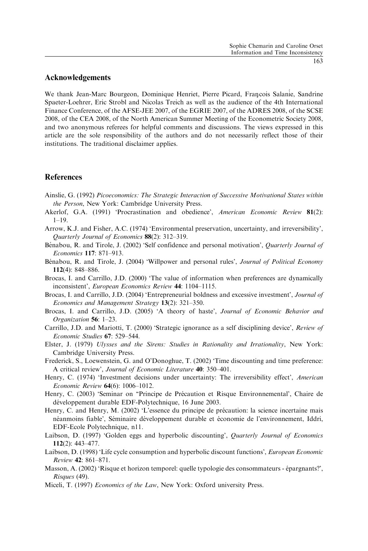#### Acknowledgements

We thank Jean-Marc Bourgeon, Dominique Henriet, Pierre Picard, François Salanie, Sandrine Spaeter-Loehrer, Eric Strobl and Nicolas Treich as well as the audience of the 4th International Finance Conference, of the AFSE-JEE 2007, of the EGRIE 2007, of the ADRES 2008, of the SCSE 2008, of the CEA 2008, of the North American Summer Meeting of the Econometric Society 2008, and two anonymous referees for helpful comments and discussions. The views expressed in this article are the sole responsibility of the authors and do not necessarily reflect those of their institutions. The traditional disclaimer applies.

### References

- Ainslie, G. (1992) Picoeconomics: The Strategic Interaction of Successive Motivational States within the Person, New York: Cambridge University Press.
- Akerlof, G.A. (1991) 'Procrastination and obedience', American Economic Review 81(2): 1–19.
- Arrow, K.J. and Fisher, A.C. (1974) 'Environmental preservation, uncertainty, and irreversibility', Quarterly Journal of Economics 88(2): 312–319.
- Bénabou, R. and Tirole, J. (2002) 'Self confidence and personal motivation', *Quarterly Journal of* Economics 117: 871–913.
- Bénabou, R. and Tirole, J. (2004) 'Willpower and personal rules', *Journal of Political Economy* 112(4): 848–886.
- Brocas, I. and Carrillo, J.D. (2000) 'The value of information when preferences are dynamically inconsistent', European Economics Review 44: 1104–1115.
- Brocas, I. and Carrillo, J.D. (2004) 'Entrepreneurial boldness and excessive investment', Journal of Economics and Management Strategy 13(2): 321–350.
- Brocas, I. and Carrillo, J.D. (2005) 'A theory of haste', Journal of Economic Behavior and Organization 56: 1–23.
- Carrillo, J.D. and Mariotti, T. (2000) 'Strategic ignorance as a self disciplining device', Review of Economic Studies 67: 529–544.
- Elster, J. (1979) Ulysses and the Sirens: Studies in Rationality and Irrationality, New York: Cambridge University Press.
- Frederick, S., Loewenstein, G. and O'Donoghue, T. (2002) 'Time discounting and time preference: A critical review', Journal of Economic Literature 40: 350–401.
- Henry, C. (1974) 'Investment decisions under uncertainty: The irreversibility effect', American Economic Review 64(6): 1006–1012.
- Henry, C. (2003) 'Seminar on "Principe de Précaution et Risque Environnemental', Chaire de développement durable EDF-Polytechnique, 16 June 2003.
- Henry, C. and Henry, M. (2002) 'L'essence du principe de précaution: la science incertaine mais néanmoins fiable', Séminaire développement durable et économie de l'environnement, Iddri, EDF-Ecole Polytechnique, n11.
- Laibson, D. (1997) 'Golden eggs and hyperbolic discounting', Quarterly Journal of Economics 112(2): 443–477.
- Laibson, D. (1998) 'Life cycle consumption and hyperbolic discount functions', European Economic Review 42: 861–871.
- Masson, A. (2002) 'Risque et horizon temporel: quelle typologie des consommateurs épargnants?', Risques (49).
- Miceli, T. (1997) *Economics of the Law*, New York: Oxford university Press.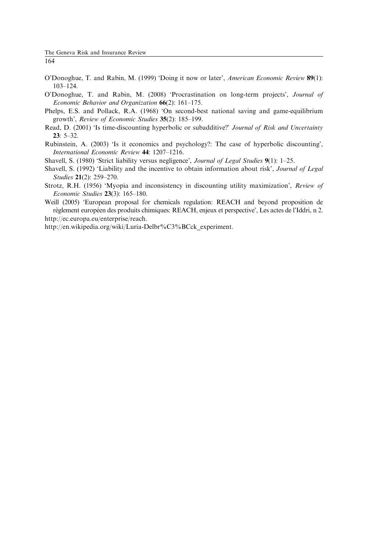- O'Donoghue, T. and Rabin, M. (1999) 'Doing it now or later', American Economic Review 89(1): 103–124.
- O'Donoghue, T. and Rabin, M. (2008) 'Procrastination on long-term projects', Journal of Economic Behavior and Organization 66(2): 161–175.
- Phelps, E.S. and Pollack, R.A. (1968) 'On second-best national saving and game-equilibrium growth', Review of Economic Studies 35(2): 185–199.
- Read, D. (2001) 'Is time-discounting hyperbolic or subadditive?' Journal of Risk and Uncertainty 23: 5–32.
- Rubinstein, A. (2003) 'Is it economics and psychology?: The case of hyperbolic discounting', International Economic Review 44: 1207–1216.
- Shavell, S. (1980) 'Strict liability versus negligence', Journal of Legal Studies 9(1): 1-25.
- Shavell, S. (1992) 'Liability and the incentive to obtain information about risk', Journal of Legal Studies 21(2): 259–270.
- Strotz, R.H. (1956) 'Myopia and inconsistency in discounting utility maximization', Review of Economic Studies 23(3): 165–180.

Weill (2005) 'European proposal for chemicals regulation: REACH and beyond proposition de règlement européen des produits chimiques: REACH, enjeux et perspective', Les actes de l'Iddri, n 2. http://ec.europa.eu/enterprise/reach.

http://en.wikipedia.org/wiki/Luria-Delbr%C3%BCck\_experiment.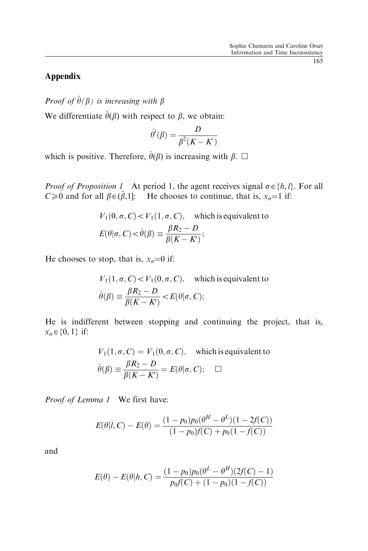# Appendix

Proof of  $\hat{\theta}(\beta)$  is increasing with  $\beta$ 

We differentiate  $\hat{\theta}(\beta)$  with respect to  $\beta$ , we obtain:

$$
\hat{\theta}'(\beta) = \frac{D}{\beta^2(K - K')}
$$

which is positive. Therefore,  $\hat{\theta}(\beta)$  is increasing with  $\beta$ .  $\Box$ 

*Proof of Proposition 1* At period 1, the agent receives signal  $\sigma \in \{h, l\}$ . For all  $C \ge 0$  and for all  $\beta \in (\tilde{\beta}, 1]$ : He chooses to continue, that is,  $x_{\sigma} = 1$  if:

$$
V_1(0, \sigma, C) < V_1(1, \sigma, C), \quad \text{which is equivalent to}
$$
\n
$$
E(\theta | \sigma, C) < \hat{\theta}(\beta) \equiv \frac{\beta R_2 - D}{\beta (K - K)};
$$

He chooses to stop, that is,  $x_{\sigma} = 0$  if:

$$
V_1(1, \sigma, C) < V_1(0, \sigma, C), \quad \text{which is equivalent to}
$$
\n
$$
\hat{\theta}(\beta) \equiv \frac{\beta R_2 - D}{\beta(K - K')} < E(\theta | \sigma, C);
$$

He is indifferent between stopping and continuing the project, that is,  $x_{\sigma} \in \{0, 1\}$  if:

$$
V_1(1, \sigma, C) = V_1(0, \sigma, C), \text{ which is equivalent to}
$$

$$
\hat{\theta}(\beta) \equiv \frac{\beta R_2 - D}{\beta(K - K')} = E(\theta | \sigma, C); \quad \Box
$$

Proof of Lemma 1 We first have:

$$
E(\theta|I, C) - E(\theta) = \frac{(1 - p_0)p_0(\theta^H - \theta^L)(1 - 2f(C))}{(1 - p_0)f(C) + p_0(1 - f(C))}
$$

and

$$
E(\theta) - E(\theta | h, C) = \frac{(1 - p_0)p_0(\theta^L - \theta^H)(2f(C) - 1)}{p_0f(C) + (1 - p_0)(1 - f(C))}
$$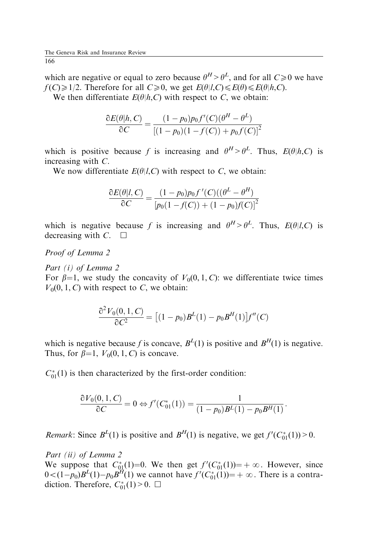which are negative or equal to zero because  $\theta^H > \theta^L$ , and for all  $C \ge 0$  we have  $f(C) \geq 1/2$ . Therefore for all  $C \geq 0$ , we get  $E(\theta|l, C) \leq E(\theta) \leq E(\theta|h, C)$ .

We then differentiate  $E(\theta|h, C)$  with respect to C, we obtain:

$$
\frac{\partial E(\theta|h, C)}{\partial C} = \frac{(1 - p_0)p_0 f'(C)(\theta^H - \theta^L)}{[(1 - p_0)(1 - f(C)) + p_0 f(C)]^2}
$$

which is positive because f is increasing and  $\theta^H > \theta^L$ . Thus,  $E(\theta|h,C)$  is increasing with C.

We now differentiate  $E(\theta|l, C)$  with respect to C, we obtain:

$$
\frac{\partial E(\theta|I,C)}{\partial C} = \frac{(1-p_0)p_0 f'(C)((\theta^L - \theta^H))}{[p_0(1 - f(C)) + (1 - p_0)f(C)]^2}
$$

which is negative because f is increasing and  $\theta^H > \theta^L$ . Thus,  $E(\theta|l,C)$  is decreasing with  $C. \Box$ 

Proof of Lemma 2

Part *(i)* of Lemma 2

For  $\beta=1$ , we study the concavity of  $V_0(0, 1, C)$ : we differentiate twice times  $V_0(0, 1, C)$  with respect to C, we obtain:

$$
\frac{\partial^2 V_0(0,1,C)}{\partial C^2} = [(1-p_0)B^L(1) - p_0B^H(1)]f''(C)
$$

which is negative because f is concave,  $B<sup>L</sup>(1)$  is positive and  $B<sup>H</sup>(1)$  is negative. Thus, for  $\beta=1$ ,  $V_0(0, 1, C)$  is concave.

 $C_{01}^*(1)$  is then characterized by the first-order condition:

$$
\frac{\partial V_0(0,1,C)}{\partial C} = 0 \Leftrightarrow f'(C_{01}^*(1)) = \frac{1}{(1-p_0)B^L(1) - p_0B^H(1)}.
$$

*Remark*: Since  $B^{L}(1)$  is positive and  $B^{H}(1)$  is negative, we get  $f'(C_{01}^{*}(1)) > 0$ .

Part (ii) of Lemma 2

We suppose that  $C_{0,1}^*(1)=0$ . We then get  $f'(C_{0,1}^*(1))=+\infty$ . However, since  $0 < (1-p_0)B^L(1)-p_0B^H(1)$  we cannot have  $f'(C_{01}^*(1))=+\infty$ . There is a contradiction. Therefore,  $C_{01}^*(1) > 0$ .  $\Box$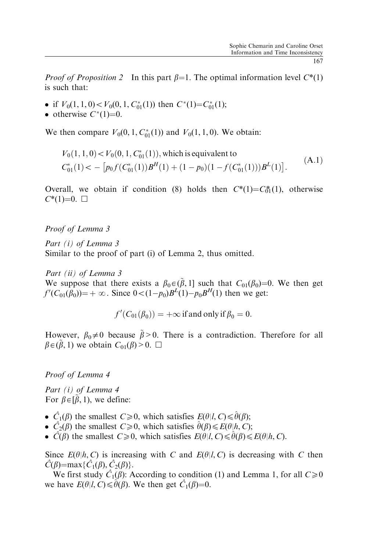*Proof of Proposition 2* In this part  $\beta=1$ . The optimal information level  $C^*(1)$ is such that:

- if  $V_0(1, 1, 0) < V_0(0, 1, C_{01}^*(1))$  then  $C^*(1) = C_{01}^*(1);$
- otherwise  $C^*(1)=0$ .

We then compare  $V_0(0, 1, C_{01}^*(1))$  and  $V_0(1, 1, 0)$ . We obtain:

$$
V_0(1, 1, 0) < V_0(0, 1, C_{01}^*(1)), \text{ which is equivalent to}
$$
\n
$$
C_{01}^*(1) < -\left[ p_0 f(C_{01}^*(1)) B^H(1) + (1 - p_0)(1 - f(C_{01}^*(1))) B^L(1) \right]. \tag{A.1}
$$

Overall, we obtain if condition (8) holds then  $C^*(1) = C_0^*(1)$ , otherwise  $C^*(1)=0.$ 

Proof of Lemma 3

Part (i) of Lemma 3 Similar to the proof of part (i) of Lemma 2, thus omitted.

Part *(ii)* of Lemma 3

We suppose that there exists a  $\beta_0 \in (\tilde{\beta}, 1]$  such that  $C_{01}(\beta_0) = 0$ . We then get  $f'(C_{01}(\hat{\beta}_0)) = +\infty$ . Since  $0 < (1 - p_0)B^L(1) - p_0B^H(1)$  then we get:

$$
f'(C_{01}(\beta_0)) = +\infty
$$
 if and only if  $\beta_0 = 0$ .

However,  $\beta_0 \neq 0$  because  $\tilde{\beta} > 0$ . There is a contradiction. Therefore for all  $\beta \in (\tilde{\beta}, 1)$  we obtain  $C_{01}(\beta) > 0$ .  $\Box$ 

Proof of Lemma 4

Part (i) of Lemma 4 For  $\beta \in [\tilde{\beta}, 1)$ , we define:

- $\hat{C}_1(\beta)$  the smallest  $C \ge 0$ , which satisfies  $E(\theta | l, C) \le \hat{\theta}(\beta)$ ;
- $\hat{C}_2(\beta)$  the smallest  $C \ge 0$ , which satisfies  $\hat{\theta}(\beta) \le E(\theta|h, C)$ ;
- $\hat{C}(\beta)$  the smallest  $C\geq 0$ , which satisfies  $E(\theta|l, C)\leq \theta(\beta)\leq E(\theta|h, C)$ .

Since  $E(\theta|h, C)$  is increasing with C and  $E(\theta|l, C)$  is decreasing with C then  $\hat{C}(\beta) = \max{\{\hat{C}_1(\beta), \hat{C}_2(\beta)\}}$ .

We first study  $\hat{C}_1(\hat{\beta})$ : According to condition (1) and Lemma 1, for all  $C \ge 0$ we have  $E(\theta | l, C) \leq \hat{\theta}(\beta)$ . We then get  $\hat{C}_1(\beta)=0$ .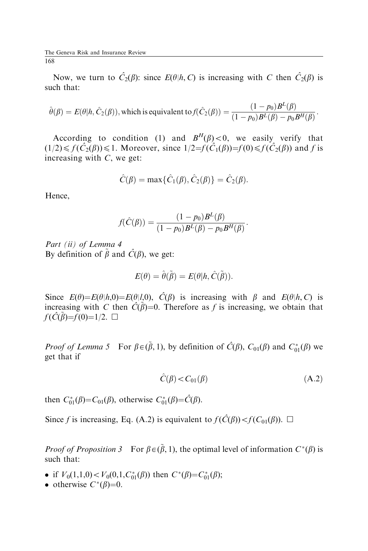Now, we turn to  $\hat{C}_2(\beta)$ : since  $E(\theta | h, C)$  is increasing with C then  $\hat{C}_2(\beta)$  is such that:

$$
\hat{\theta}(\beta) = E(\theta | h, \hat{C}_2(\beta)),
$$
 which is equivalent to  $f(\hat{C}_2(\beta)) = \frac{(1 - p_0)B^L(\beta)}{(1 - p_0)B^L(\beta) - p_0B^H(\beta)}$ .

According to condition (1) and  $B^{H}(\beta) < 0$ , we easily verify that  $(1/2) \leq f(\hat{C}_2(\beta)) \leq 1$ . Moreover, since  $1/2 = \hat{f}(\hat{C}_1(\beta)) = f(0) \leq f(\hat{C}_2(\beta))$  and f is increasing with  $C$ , we get:

$$
\hat{C}(\beta) = \max{\{\hat{C}_1(\beta), \hat{C}_2(\beta)\}} = \hat{C}_2(\beta).
$$

Hence,

$$
f(\hat{C}(\beta)) = \frac{(1 - p_0)B^{L}(\beta)}{(1 - p_0)B^{L}(\beta) - p_0B^{H}(\beta)}.
$$

Part *(ii)* of Lemma 4 By definition of  $\tilde{\beta}$  and  $\hat{C}(\beta)$ , we get:

$$
E(\theta) = \hat{\theta}(\tilde{\beta}) = E(\theta | h, \hat{C}(\tilde{\beta})).
$$

Since  $E(\theta) = E(\theta | h, 0) = E(\theta | l, 0)$ ,  $\hat{C}(\beta)$  is increasing with  $\beta$  and  $E(\theta | h, C)$  is increasing with C then  $\hat{C}(\tilde{\beta})=0$ . Therefore as f is increasing, we obtain that  $f(\hat{C}(\tilde{\beta})=f(0)=1/2. \ \Box$ 

*Proof of Lemma 5* For  $\beta \in (\tilde{\beta}, 1)$ , by definition of  $\hat{C}(\beta)$ ,  $C_{01}(\beta)$  and  $C_{01}^*(\beta)$  we get that if

$$
\hat{C}(\beta) < C_{01}(\beta) \tag{A.2}
$$

then  $C_{01}^*(\beta) = C_{01}(\beta)$ , otherwise  $C_{01}^*(\beta) = \hat{C}(\beta)$ .

Since f is increasing, Eq. (A.2) is equivalent to  $f(\hat{C}(\beta)) < f(C_{01}(\beta))$ .  $\Box$ 

*Proof of Proposition* 3 For  $\beta \in (\tilde{\beta}, 1)$ , the optimal level of information  $C^*(\beta)$  is such that:

- if  $V_0(1,1,0) < V_0(0,1,C_{01}^*(\beta))$  then  $C^*(\beta) = C_{01}^*(\beta);$
- otherwise  $C^*(\beta)=0$ .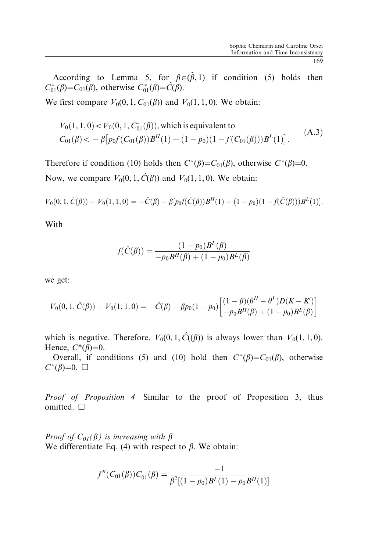According to Lemma 5, for  $\beta \in (\tilde{\beta}, 1)$  if condition (5) holds then  $C_{01}^*(\beta) = C_{01}(\beta)$ , otherwise  $C_{01}^*(\beta) = \hat{C}(\beta)$ .

We first compare  $V_0(0, 1, C_{01}(\beta))$  and  $V_0(1, 1, 0)$ . We obtain:

$$
V_0(1, 1, 0) < V_0(0, 1, C_{01}^*(\beta)),
$$
 which is equivalent to  

$$
C_{01}(\beta) < -\beta \left[ p_0 f(C_{01}(\beta)) B^H(1) + (1 - p_0)(1 - f(C_{01}(\beta))) B^L(1) \right].
$$
 (A.3)

Therefore if condition (10) holds then  $C^*(\beta) = C_{01}(\beta)$ , otherwise  $C^*(\beta) = 0$ . Now, we compare  $V_0(0, 1, \hat{C}(\beta))$  and  $V_0(1, 1, 0)$ . We obtain:

$$
V_0(0,1,\hat{C}(\beta)) - V_0(1,1,0) = -\hat{C}(\beta) - \beta [p_0 f(\hat{C}(\beta))B^H(1) + (1-p_0)(1 - f(\hat{C}(\beta)))B^L(1)].
$$

With

$$
f(\hat{C}(\beta)) = \frac{(1 - p_0)B^{L}(\beta)}{-p_0 B^{H}(\beta) + (1 - p_0)B^{L}(\beta)}
$$

we get:

$$
V_0(0, 1, \hat{C}(\beta)) - V_0(1, 1, 0) = -\hat{C}(\beta) - \beta p_0 (1 - p_0) \left[ \frac{(1 - \beta)(\theta^H - \theta^L)D(K - K')}{-p_0 B^H(\beta) + (1 - p_0)B^L(\beta)} \right]
$$

which is negative. Therefore,  $V_0(0, 1, \hat{C}(\beta))$  is always lower than  $V_0(1, 1, 0)$ . Hence,  $C^*(\beta)=0$ .

Overall, if conditions (5) and (10) hold then  $C^*(\beta) = C_{01}(\beta)$ , otherwise  $C^*(\beta)=0.$ 

Proof of Proposition 4 Similar to the proof of Proposition 3, thus omitted.  $\square$ 

*Proof of*  $C_{0I}(\beta)$  is increasing with  $\beta$ We differentiate Eq. (4) with respect to  $\beta$ . We obtain:

$$
f''(C_{01}(\beta))C_{01}(\beta) = \frac{-1}{\beta^2[(1-p_0)B^L(1)-p_0B^H(1)]}
$$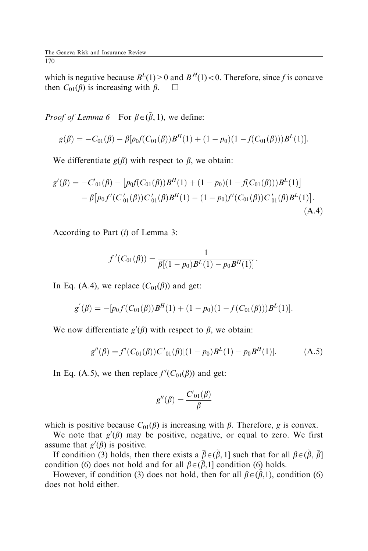which is negative because  $B^{L}(1) > 0$  and  $B^{H}(1) < 0$ . Therefore, since f is concave then  $C_{01}(\beta)$  is increasing with  $\beta$ .  $\Box$ 

*Proof of Lemma 6* For  $\beta \in (\tilde{\beta}, 1)$ , we define:

$$
g(\beta) = -C_{01}(\beta) - \beta [p_0 f(C_{01}(\beta))B^H(1) + (1-p_0)(1 - f(C_{01}(\beta)))B^L(1)].
$$

We differentiate  $g(\beta)$  with respect to  $\beta$ , we obtain:

$$
g'(\beta) = -C'_{01}(\beta) - [p_0 f(C_{01}(\beta))B^H(1) + (1 - p_0)(1 - f(C_{01}(\beta)))B^L(1)]
$$
  
-  $\beta[p_0 f'(C'_{01}(\beta))C'_{01}(\beta)B^H(1) - (1 - p_0)f'(C_{01}(\beta))C'_{01}(\beta)B^L(1)].$   
(A.4)

According to Part (i) of Lemma 3:

$$
f'(C_{01}(\beta)) = \frac{1}{\beta[(1-p_0)B^L(1)-p_0B^H(1)]}.
$$

In Eq. (A.4), we replace  $(C_{01}(\beta))$  and get:

$$
g'(\beta) = -[p_0 f(C_{01}(\beta))B^H(1) + (1-p_0)(1 - f(C_{01}(\beta)))B^L(1)].
$$

We now differentiate  $g'(\beta)$  with respect to  $\beta$ , we obtain:

$$
g''(\beta) = f'(C_{01}(\beta))C'_{01}(\beta)[(1-p_0)B^{L}(1) - p_0B^{H}(1)].
$$
 (A.5)

In Eq. (A.5), we then replace  $f'(C_{01}(\beta))$  and get:

$$
g''(\beta) = \frac{C_{01}(\beta)}{\beta}
$$

which is positive because  $C_{01}(\beta)$  is increasing with  $\beta$ . Therefore, g is convex.

We note that  $g'(\beta)$  may be positive, negative, or equal to zero. We first assume that  $g'(\beta)$  is positive.

If condition (3) holds, then there exists a  $\bar{\beta} \in (\tilde{\beta}, 1]$  such that for all  $\beta \in (\tilde{\beta}, \bar{\beta}]$ condition (6) does not hold and for all  $\beta \in (\bar{\beta}, 1]$  condition (6) holds.

However, if condition (3) does not hold, then for all  $\beta \in (\hat{\beta}, 1)$ , condition (6) does not hold either.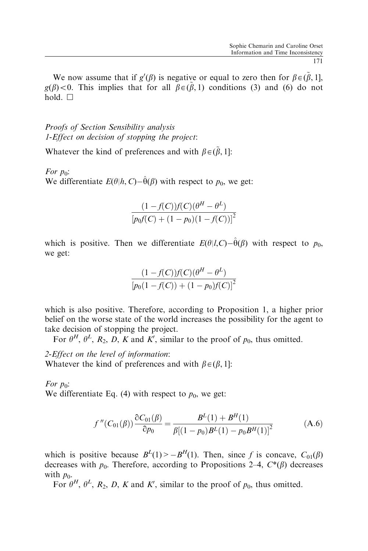We now assume that if  $g'(\beta)$  is negative or equal to zero then for  $\beta \in (\tilde{\beta}, 1]$ ,  $g(\beta)$  < 0. This implies that for all  $\beta \in (\tilde{\beta}, 1)$  conditions (3) and (6) do not hold.  $\Box$ 

Proofs of Section Sensibility analysis 1-Effect on decision of stopping the project:

Whatever the kind of preferences and with  $\beta \in (\tilde{\beta}, 1]$ :

For  $p_0$ : We differentiate  $E(\theta | h, C) - \hat{\theta}(\beta)$  with respect to  $p_0$ , we get:

$$
\frac{(1 - f(C))f(C)(\theta^H - \theta^L)}{[p_0f(C) + (1 - p_0)(1 - f(C))]^2}
$$

which is positive. Then we differentiate  $E(\theta|I,C) - \hat{\theta}(\beta)$  with respect to  $p_0$ , we get:

$$
\frac{(1 - f(C))f(C)(\theta^H - \theta^L)}{[p_0(1 - f(C)) + (1 - p_0)f(C)]^2}
$$

which is also positive. Therefore, according to Proposition 1, a higher prior belief on the worse state of the world increases the possibility for the agent to take decision of stopping the project.

For  $\theta^H$ ,  $\theta^L$ ,  $R_2$ ,  $D$ ,  $K$  and  $K'$ , similar to the proof of  $p_0$ , thus omitted.

2-Effect on the level of information: Whatever the kind of preferences and with  $\beta \in (\beta, 1]$ :

For  $p_0$ :

We differentiate Eq. (4) with respect to  $p_0$ , we get:

$$
f''(C_{01}(\beta))\frac{\partial C_{01}(\beta)}{\partial p_0} = \frac{B^L(1) + B^H(1)}{\beta[(1 - p_0)B^L(1) - p_0B^H(1)]^2}
$$
(A.6)

which is positive because  $B^{L}(1) > -B^{H}(1)$ . Then, since f is concave,  $C_{01}(\beta)$ decreases with  $p_0$ . Therefore, according to Propositions 2–4,  $C^*(\beta)$  decreases with  $p_0$ .

For  $\theta^H$ ,  $\theta^L$ ,  $R_2$ , D, K and K', similar to the proof of  $p_0$ , thus omitted.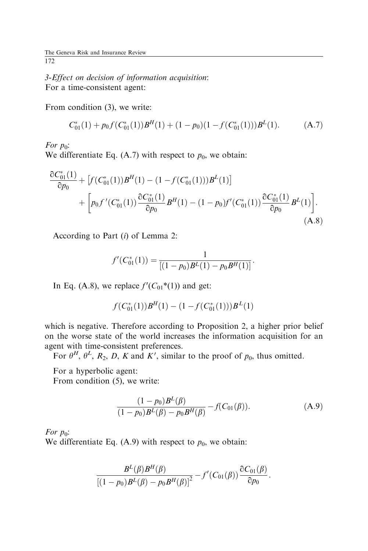3-Effect on decision of information acquisition: For a time-consistent agent:

From condition (3), we write:

$$
C_{01}^*(1) + p_0 f(C_{01}^*(1))B^H(1) + (1 - p_0)(1 - f(C_{01}^*(1)))B^L(1).
$$
 (A.7)

For  $p_0$ :

We differentiate Eq. (A.7) with respect to  $p_0$ , we obtain:

$$
\frac{\partial C_{01}^*(1)}{\partial p_0} + \left[ f(C_{01}^*(1)) B^H(1) - (1 - f(C_{01}^*(1))) B^L(1) \right] \n+ \left[ p_0 f'(C_{01}^*(1)) \frac{\partial C_{01}^*(1)}{\partial p_0} B^H(1) - (1 - p_0) f'(C_{01}^*(1)) \frac{\partial C_{01}^*(1)}{\partial p_0} B^L(1) \right].
$$
\n(A.8)

According to Part (i) of Lemma 2:

$$
f'(C_{01}^{*}(1)) = \frac{1}{[(1-p_0)B^{L}(1) - p_0B^{H}(1)]}.
$$

In Eq. (A.8), we replace  $f'(C_{01}^*(1))$  and get:

$$
f(C_{01}^*(1))B^H(1) - (1 - f(C_{01}^*(1)))B^L(1)
$$

which is negative. Therefore according to Proposition 2, a higher prior belief on the worse state of the world increases the information acquisition for an agent with time-consistent preferences.

For  $\theta^H$ ,  $\theta^L$ ,  $R_2$ , D, K and K', similar to the proof of  $p_0$ , thus omitted.

For a hyperbolic agent:

From condition (5), we write:

$$
\frac{(1 - p_0)B^L(\beta)}{(1 - p_0)B^L(\beta) - p_0B^H(\beta)} - f(C_{01}(\beta)).
$$
\n(A.9)

For  $p_0$ :

We differentiate Eq.  $(A.9)$  with respect to  $p_0$ , we obtain:

$$
\frac{B^L(\beta)B^H(\beta)}{[(1-p_0)B^L(\beta)-p_0B^H(\beta)]^2} - f'(C_{01}(\beta))\frac{\partial C_{01}(\beta)}{\partial p_0}.
$$